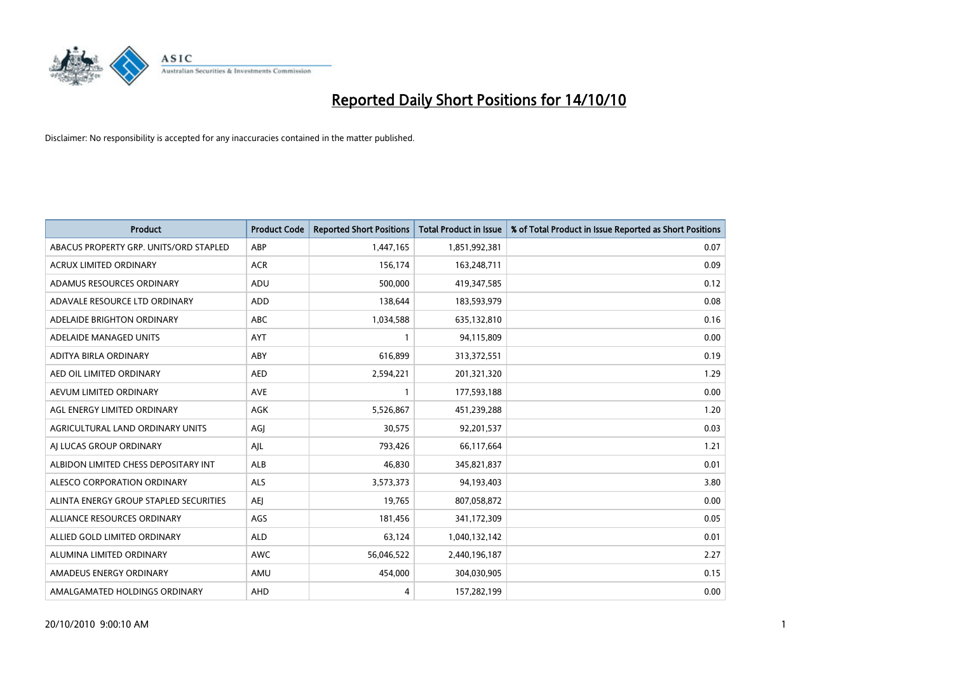

| <b>Product</b>                         | <b>Product Code</b> | <b>Reported Short Positions</b> | Total Product in Issue | % of Total Product in Issue Reported as Short Positions |
|----------------------------------------|---------------------|---------------------------------|------------------------|---------------------------------------------------------|
| ABACUS PROPERTY GRP. UNITS/ORD STAPLED | ABP                 | 1,447,165                       | 1,851,992,381          | 0.07                                                    |
| <b>ACRUX LIMITED ORDINARY</b>          | <b>ACR</b>          | 156,174                         | 163,248,711            | 0.09                                                    |
| ADAMUS RESOURCES ORDINARY              | ADU                 | 500,000                         | 419,347,585            | 0.12                                                    |
| ADAVALE RESOURCE LTD ORDINARY          | ADD                 | 138,644                         | 183,593,979            | 0.08                                                    |
| ADELAIDE BRIGHTON ORDINARY             | <b>ABC</b>          | 1,034,588                       | 635,132,810            | 0.16                                                    |
| ADELAIDE MANAGED UNITS                 | AYT                 |                                 | 94,115,809             | 0.00                                                    |
| ADITYA BIRLA ORDINARY                  | ABY                 | 616.899                         | 313,372,551            | 0.19                                                    |
| AED OIL LIMITED ORDINARY               | <b>AED</b>          | 2,594,221                       | 201,321,320            | 1.29                                                    |
| AEVUM LIMITED ORDINARY                 | <b>AVE</b>          |                                 | 177,593,188            | 0.00                                                    |
| AGL ENERGY LIMITED ORDINARY            | <b>AGK</b>          | 5,526,867                       | 451,239,288            | 1.20                                                    |
| AGRICULTURAL LAND ORDINARY UNITS       | AGJ                 | 30,575                          | 92,201,537             | 0.03                                                    |
| AI LUCAS GROUP ORDINARY                | AJL                 | 793,426                         | 66,117,664             | 1.21                                                    |
| ALBIDON LIMITED CHESS DEPOSITARY INT   | ALB                 | 46.830                          | 345,821,837            | 0.01                                                    |
| ALESCO CORPORATION ORDINARY            | <b>ALS</b>          | 3,573,373                       | 94,193,403             | 3.80                                                    |
| ALINTA ENERGY GROUP STAPLED SECURITIES | <b>AEI</b>          | 19,765                          | 807,058,872            | 0.00                                                    |
| ALLIANCE RESOURCES ORDINARY            | AGS                 | 181,456                         | 341,172,309            | 0.05                                                    |
| ALLIED GOLD LIMITED ORDINARY           | <b>ALD</b>          | 63,124                          | 1,040,132,142          | 0.01                                                    |
| ALUMINA LIMITED ORDINARY               | <b>AWC</b>          | 56,046,522                      | 2,440,196,187          | 2.27                                                    |
| AMADEUS ENERGY ORDINARY                | AMU                 | 454,000                         | 304,030,905            | 0.15                                                    |
| AMALGAMATED HOLDINGS ORDINARY          | AHD                 | 4                               | 157,282,199            | 0.00                                                    |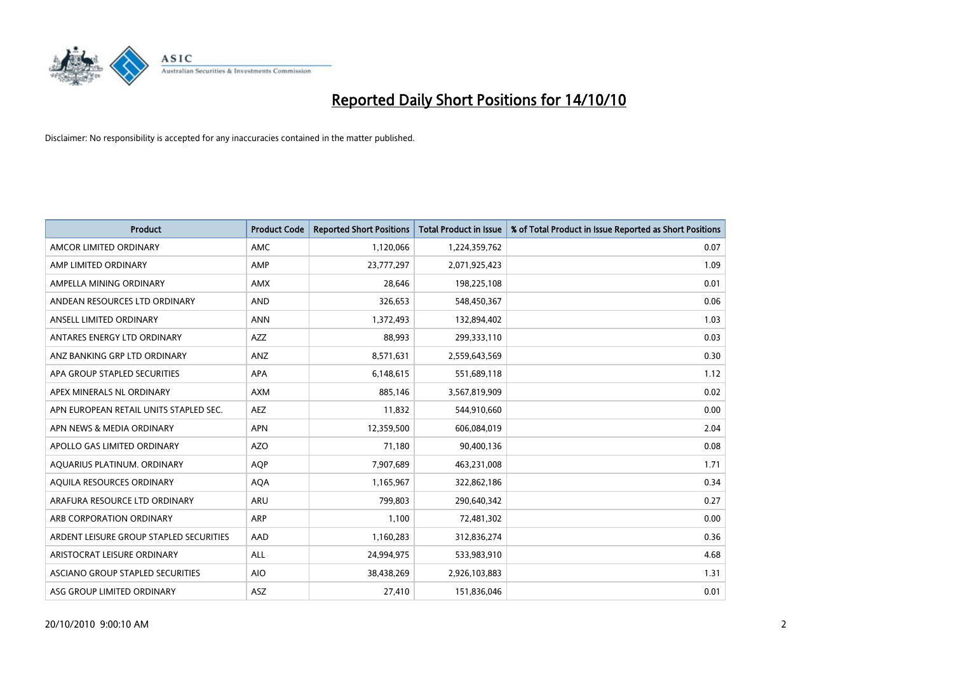

| <b>Product</b>                          | <b>Product Code</b> | <b>Reported Short Positions</b> | <b>Total Product in Issue</b> | % of Total Product in Issue Reported as Short Positions |
|-----------------------------------------|---------------------|---------------------------------|-------------------------------|---------------------------------------------------------|
| AMCOR LIMITED ORDINARY                  | <b>AMC</b>          | 1,120,066                       | 1,224,359,762                 | 0.07                                                    |
| AMP LIMITED ORDINARY                    | AMP                 | 23,777,297                      | 2,071,925,423                 | 1.09                                                    |
| AMPELLA MINING ORDINARY                 | <b>AMX</b>          | 28,646                          | 198,225,108                   | 0.01                                                    |
| ANDEAN RESOURCES LTD ORDINARY           | <b>AND</b>          | 326,653                         | 548,450,367                   | 0.06                                                    |
| ANSELL LIMITED ORDINARY                 | <b>ANN</b>          | 1,372,493                       | 132,894,402                   | 1.03                                                    |
| ANTARES ENERGY LTD ORDINARY             | <b>AZZ</b>          | 88,993                          | 299,333,110                   | 0.03                                                    |
| ANZ BANKING GRP LTD ORDINARY            | <b>ANZ</b>          | 8,571,631                       | 2,559,643,569                 | 0.30                                                    |
| APA GROUP STAPLED SECURITIES            | <b>APA</b>          | 6,148,615                       | 551,689,118                   | 1.12                                                    |
| APEX MINERALS NL ORDINARY               | <b>AXM</b>          | 885,146                         | 3,567,819,909                 | 0.02                                                    |
| APN EUROPEAN RETAIL UNITS STAPLED SEC.  | <b>AEZ</b>          | 11,832                          | 544,910,660                   | 0.00                                                    |
| APN NEWS & MEDIA ORDINARY               | <b>APN</b>          | 12,359,500                      | 606,084,019                   | 2.04                                                    |
| APOLLO GAS LIMITED ORDINARY             | <b>AZO</b>          | 71,180                          | 90,400,136                    | 0.08                                                    |
| AQUARIUS PLATINUM. ORDINARY             | <b>AQP</b>          | 7,907,689                       | 463,231,008                   | 1.71                                                    |
| AQUILA RESOURCES ORDINARY               | <b>AQA</b>          | 1,165,967                       | 322,862,186                   | 0.34                                                    |
| ARAFURA RESOURCE LTD ORDINARY           | <b>ARU</b>          | 799,803                         | 290,640,342                   | 0.27                                                    |
| ARB CORPORATION ORDINARY                | <b>ARP</b>          | 1,100                           | 72,481,302                    | 0.00                                                    |
| ARDENT LEISURE GROUP STAPLED SECURITIES | AAD                 | 1,160,283                       | 312,836,274                   | 0.36                                                    |
| ARISTOCRAT LEISURE ORDINARY             | <b>ALL</b>          | 24,994,975                      | 533,983,910                   | 4.68                                                    |
| ASCIANO GROUP STAPLED SECURITIES        | <b>AIO</b>          | 38,438,269                      | 2,926,103,883                 | 1.31                                                    |
| ASG GROUP LIMITED ORDINARY              | <b>ASZ</b>          | 27,410                          | 151,836,046                   | 0.01                                                    |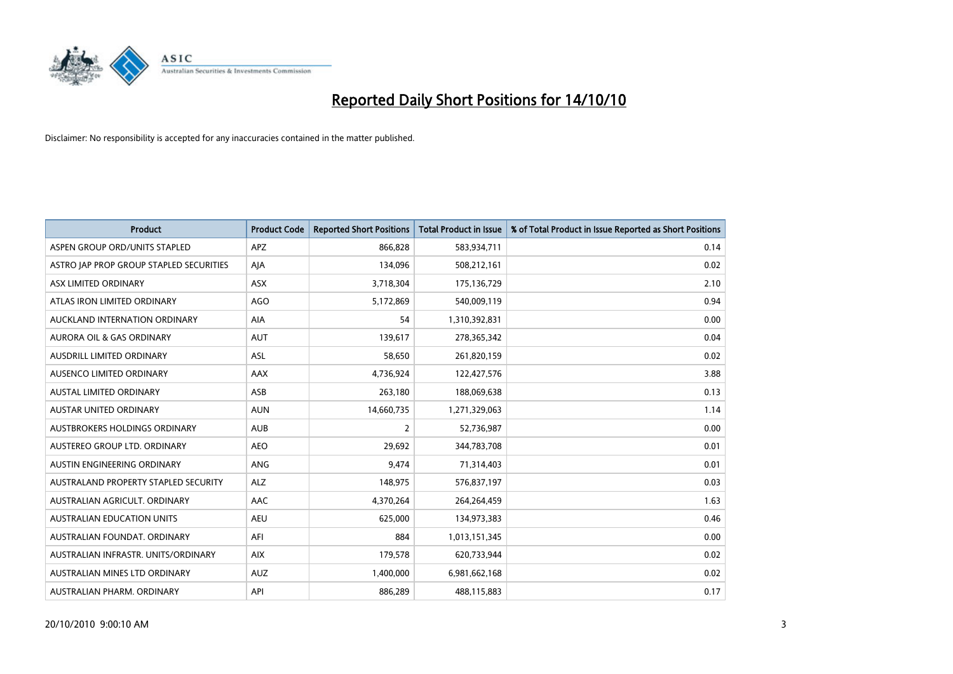

| <b>Product</b>                          | <b>Product Code</b> | <b>Reported Short Positions</b> | <b>Total Product in Issue</b> | % of Total Product in Issue Reported as Short Positions |
|-----------------------------------------|---------------------|---------------------------------|-------------------------------|---------------------------------------------------------|
| ASPEN GROUP ORD/UNITS STAPLED           | <b>APZ</b>          | 866,828                         | 583,934,711                   | 0.14                                                    |
| ASTRO JAP PROP GROUP STAPLED SECURITIES | AJA                 | 134,096                         | 508,212,161                   | 0.02                                                    |
| ASX LIMITED ORDINARY                    | <b>ASX</b>          | 3,718,304                       | 175,136,729                   | 2.10                                                    |
| ATLAS IRON LIMITED ORDINARY             | <b>AGO</b>          | 5,172,869                       | 540,009,119                   | 0.94                                                    |
| AUCKLAND INTERNATION ORDINARY           | AIA                 | 54                              | 1,310,392,831                 | 0.00                                                    |
| <b>AURORA OIL &amp; GAS ORDINARY</b>    | <b>AUT</b>          | 139,617                         | 278,365,342                   | 0.04                                                    |
| AUSDRILL LIMITED ORDINARY               | <b>ASL</b>          | 58,650                          | 261,820,159                   | 0.02                                                    |
| AUSENCO LIMITED ORDINARY                | <b>AAX</b>          | 4,736,924                       | 122,427,576                   | 3.88                                                    |
| <b>AUSTAL LIMITED ORDINARY</b>          | ASB                 | 263,180                         | 188,069,638                   | 0.13                                                    |
| <b>AUSTAR UNITED ORDINARY</b>           | <b>AUN</b>          | 14,660,735                      | 1,271,329,063                 | 1.14                                                    |
| AUSTBROKERS HOLDINGS ORDINARY           | <b>AUB</b>          | 2                               | 52,736,987                    | 0.00                                                    |
| AUSTEREO GROUP LTD. ORDINARY            | <b>AEO</b>          | 29,692                          | 344,783,708                   | 0.01                                                    |
| AUSTIN ENGINEERING ORDINARY             | ANG                 | 9,474                           | 71,314,403                    | 0.01                                                    |
| AUSTRALAND PROPERTY STAPLED SECURITY    | <b>ALZ</b>          | 148,975                         | 576,837,197                   | 0.03                                                    |
| AUSTRALIAN AGRICULT, ORDINARY           | <b>AAC</b>          | 4,370,264                       | 264,264,459                   | 1.63                                                    |
| AUSTRALIAN EDUCATION UNITS              | <b>AEU</b>          | 625,000                         | 134,973,383                   | 0.46                                                    |
| AUSTRALIAN FOUNDAT. ORDINARY            | AFI                 | 884                             | 1,013,151,345                 | 0.00                                                    |
| AUSTRALIAN INFRASTR. UNITS/ORDINARY     | <b>AIX</b>          | 179,578                         | 620,733,944                   | 0.02                                                    |
| AUSTRALIAN MINES LTD ORDINARY           | <b>AUZ</b>          | 1,400,000                       | 6,981,662,168                 | 0.02                                                    |
| AUSTRALIAN PHARM. ORDINARY              | API                 | 886,289                         | 488,115,883                   | 0.17                                                    |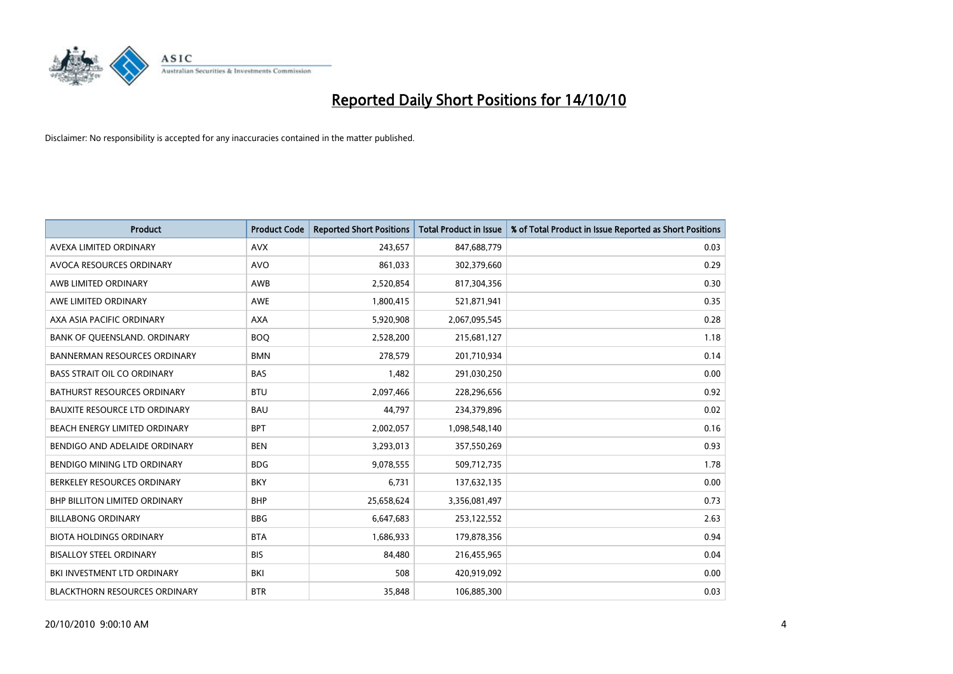

| <b>Product</b>                       | <b>Product Code</b> | <b>Reported Short Positions</b> | <b>Total Product in Issue</b> | % of Total Product in Issue Reported as Short Positions |
|--------------------------------------|---------------------|---------------------------------|-------------------------------|---------------------------------------------------------|
| AVEXA LIMITED ORDINARY               | <b>AVX</b>          | 243,657                         | 847,688,779                   | 0.03                                                    |
| AVOCA RESOURCES ORDINARY             | <b>AVO</b>          | 861,033                         | 302,379,660                   | 0.29                                                    |
| AWB LIMITED ORDINARY                 | AWB                 | 2,520,854                       | 817,304,356                   | 0.30                                                    |
| AWE LIMITED ORDINARY                 | <b>AWE</b>          | 1,800,415                       | 521,871,941                   | 0.35                                                    |
| AXA ASIA PACIFIC ORDINARY            | <b>AXA</b>          | 5,920,908                       | 2,067,095,545                 | 0.28                                                    |
| BANK OF QUEENSLAND. ORDINARY         | <b>BOO</b>          | 2,528,200                       | 215,681,127                   | 1.18                                                    |
| <b>BANNERMAN RESOURCES ORDINARY</b>  | <b>BMN</b>          | 278.579                         | 201,710,934                   | 0.14                                                    |
| <b>BASS STRAIT OIL CO ORDINARY</b>   | <b>BAS</b>          | 1,482                           | 291,030,250                   | 0.00                                                    |
| <b>BATHURST RESOURCES ORDINARY</b>   | <b>BTU</b>          | 2,097,466                       | 228,296,656                   | 0.92                                                    |
| <b>BAUXITE RESOURCE LTD ORDINARY</b> | <b>BAU</b>          | 44,797                          | 234,379,896                   | 0.02                                                    |
| BEACH ENERGY LIMITED ORDINARY        | <b>BPT</b>          | 2,002,057                       | 1,098,548,140                 | 0.16                                                    |
| BENDIGO AND ADELAIDE ORDINARY        | <b>BEN</b>          | 3,293,013                       | 357,550,269                   | 0.93                                                    |
| BENDIGO MINING LTD ORDINARY          | <b>BDG</b>          | 9,078,555                       | 509,712,735                   | 1.78                                                    |
| BERKELEY RESOURCES ORDINARY          | <b>BKY</b>          | 6,731                           | 137,632,135                   | 0.00                                                    |
| <b>BHP BILLITON LIMITED ORDINARY</b> | <b>BHP</b>          | 25,658,624                      | 3,356,081,497                 | 0.73                                                    |
| <b>BILLABONG ORDINARY</b>            | <b>BBG</b>          | 6,647,683                       | 253,122,552                   | 2.63                                                    |
| <b>BIOTA HOLDINGS ORDINARY</b>       | <b>BTA</b>          | 1,686,933                       | 179,878,356                   | 0.94                                                    |
| <b>BISALLOY STEEL ORDINARY</b>       | <b>BIS</b>          | 84,480                          | 216,455,965                   | 0.04                                                    |
| BKI INVESTMENT LTD ORDINARY          | BKI                 | 508                             | 420,919,092                   | 0.00                                                    |
| <b>BLACKTHORN RESOURCES ORDINARY</b> | <b>BTR</b>          | 35.848                          | 106,885,300                   | 0.03                                                    |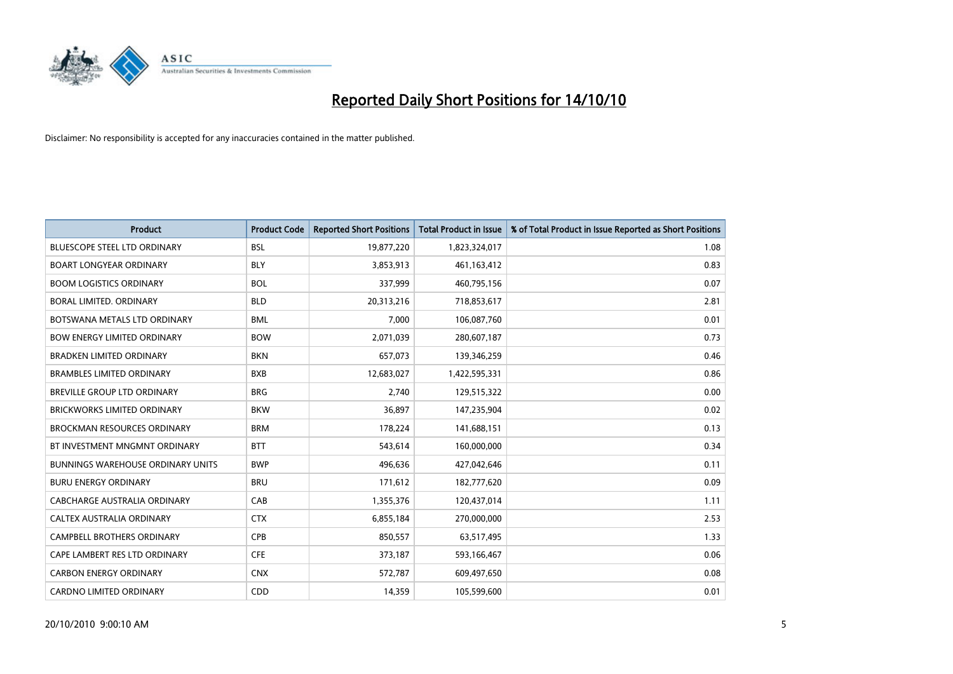

| <b>Product</b>                           | <b>Product Code</b> | <b>Reported Short Positions</b> | <b>Total Product in Issue</b> | % of Total Product in Issue Reported as Short Positions |
|------------------------------------------|---------------------|---------------------------------|-------------------------------|---------------------------------------------------------|
| <b>BLUESCOPE STEEL LTD ORDINARY</b>      | <b>BSL</b>          | 19,877,220                      | 1,823,324,017                 | 1.08                                                    |
| <b>BOART LONGYEAR ORDINARY</b>           | <b>BLY</b>          | 3,853,913                       | 461,163,412                   | 0.83                                                    |
| <b>BOOM LOGISTICS ORDINARY</b>           | <b>BOL</b>          | 337.999                         | 460,795,156                   | 0.07                                                    |
| BORAL LIMITED. ORDINARY                  | <b>BLD</b>          | 20,313,216                      | 718,853,617                   | 2.81                                                    |
| BOTSWANA METALS LTD ORDINARY             | <b>BML</b>          | 7,000                           | 106,087,760                   | 0.01                                                    |
| <b>BOW ENERGY LIMITED ORDINARY</b>       | <b>BOW</b>          | 2,071,039                       | 280,607,187                   | 0.73                                                    |
| <b>BRADKEN LIMITED ORDINARY</b>          | <b>BKN</b>          | 657,073                         | 139,346,259                   | 0.46                                                    |
| <b>BRAMBLES LIMITED ORDINARY</b>         | <b>BXB</b>          | 12,683,027                      | 1,422,595,331                 | 0.86                                                    |
| BREVILLE GROUP LTD ORDINARY              | <b>BRG</b>          | 2,740                           | 129,515,322                   | 0.00                                                    |
| <b>BRICKWORKS LIMITED ORDINARY</b>       | <b>BKW</b>          | 36,897                          | 147,235,904                   | 0.02                                                    |
| <b>BROCKMAN RESOURCES ORDINARY</b>       | <b>BRM</b>          | 178,224                         | 141,688,151                   | 0.13                                                    |
| BT INVESTMENT MNGMNT ORDINARY            | <b>BTT</b>          | 543,614                         | 160,000,000                   | 0.34                                                    |
| <b>BUNNINGS WAREHOUSE ORDINARY UNITS</b> | <b>BWP</b>          | 496,636                         | 427,042,646                   | 0.11                                                    |
| <b>BURU ENERGY ORDINARY</b>              | <b>BRU</b>          | 171,612                         | 182,777,620                   | 0.09                                                    |
| CABCHARGE AUSTRALIA ORDINARY             | CAB                 | 1,355,376                       | 120,437,014                   | 1.11                                                    |
| CALTEX AUSTRALIA ORDINARY                | <b>CTX</b>          | 6,855,184                       | 270,000,000                   | 2.53                                                    |
| <b>CAMPBELL BROTHERS ORDINARY</b>        | <b>CPB</b>          | 850,557                         | 63,517,495                    | 1.33                                                    |
| CAPE LAMBERT RES LTD ORDINARY            | <b>CFE</b>          | 373,187                         | 593,166,467                   | 0.06                                                    |
| <b>CARBON ENERGY ORDINARY</b>            | <b>CNX</b>          | 572,787                         | 609,497,650                   | 0.08                                                    |
| <b>CARDNO LIMITED ORDINARY</b>           | CDD                 | 14.359                          | 105,599,600                   | 0.01                                                    |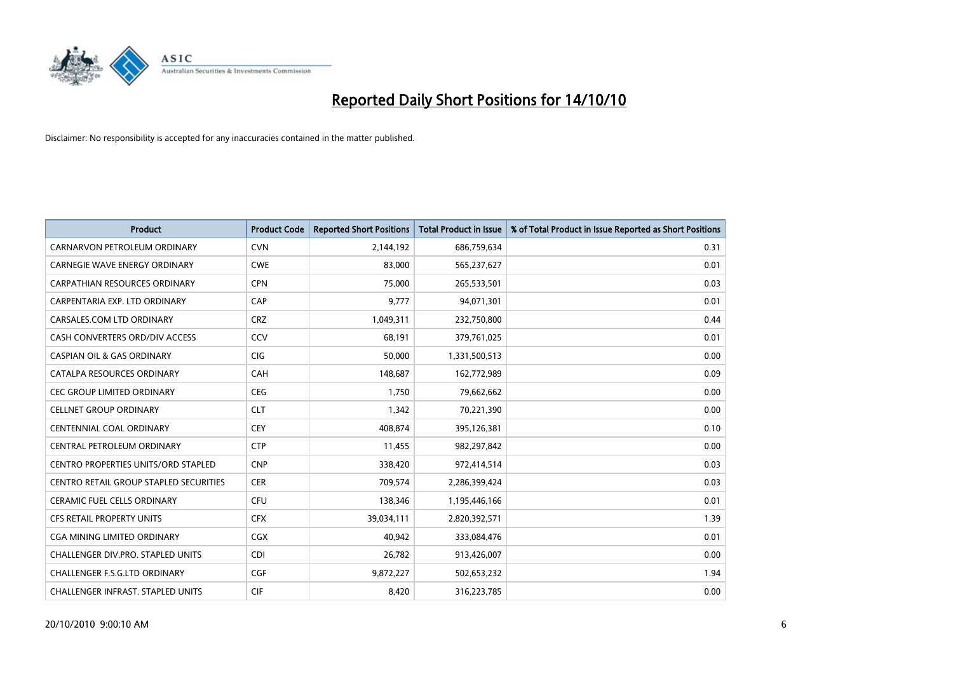

| <b>Product</b>                                | <b>Product Code</b> | <b>Reported Short Positions</b> | Total Product in Issue | % of Total Product in Issue Reported as Short Positions |
|-----------------------------------------------|---------------------|---------------------------------|------------------------|---------------------------------------------------------|
| CARNARVON PETROLEUM ORDINARY                  | <b>CVN</b>          | 2,144,192                       | 686,759,634            | 0.31                                                    |
| CARNEGIE WAVE ENERGY ORDINARY                 | <b>CWE</b>          | 83,000                          | 565,237,627            | 0.01                                                    |
| <b>CARPATHIAN RESOURCES ORDINARY</b>          | <b>CPN</b>          | 75.000                          | 265,533,501            | 0.03                                                    |
| CARPENTARIA EXP. LTD ORDINARY                 | CAP                 | 9,777                           | 94,071,301             | 0.01                                                    |
| CARSALES.COM LTD ORDINARY                     | <b>CRZ</b>          | 1,049,311                       | 232,750,800            | 0.44                                                    |
| CASH CONVERTERS ORD/DIV ACCESS                | CCV                 | 68,191                          | 379,761,025            | 0.01                                                    |
| <b>CASPIAN OIL &amp; GAS ORDINARY</b>         | <b>CIG</b>          | 50.000                          | 1,331,500,513          | 0.00                                                    |
| CATALPA RESOURCES ORDINARY                    | CAH                 | 148,687                         | 162,772,989            | 0.09                                                    |
| CEC GROUP LIMITED ORDINARY                    | <b>CEG</b>          | 1,750                           | 79,662,662             | 0.00                                                    |
| <b>CELLNET GROUP ORDINARY</b>                 | <b>CLT</b>          | 1,342                           | 70,221,390             | 0.00                                                    |
| CENTENNIAL COAL ORDINARY                      | <b>CEY</b>          | 408,874                         | 395,126,381            | 0.10                                                    |
| CENTRAL PETROLEUM ORDINARY                    | <b>CTP</b>          | 11,455                          | 982,297,842            | 0.00                                                    |
| <b>CENTRO PROPERTIES UNITS/ORD STAPLED</b>    | <b>CNP</b>          | 338,420                         | 972,414,514            | 0.03                                                    |
| <b>CENTRO RETAIL GROUP STAPLED SECURITIES</b> | <b>CER</b>          | 709,574                         | 2,286,399,424          | 0.03                                                    |
| <b>CERAMIC FUEL CELLS ORDINARY</b>            | <b>CFU</b>          | 138,346                         | 1,195,446,166          | 0.01                                                    |
| CFS RETAIL PROPERTY UNITS                     | <b>CFX</b>          | 39,034,111                      | 2,820,392,571          | 1.39                                                    |
| <b>CGA MINING LIMITED ORDINARY</b>            | <b>CGX</b>          | 40.942                          | 333,084,476            | 0.01                                                    |
| CHALLENGER DIV.PRO. STAPLED UNITS             | <b>CDI</b>          | 26,782                          | 913,426,007            | 0.00                                                    |
| <b>CHALLENGER F.S.G.LTD ORDINARY</b>          | <b>CGF</b>          | 9,872,227                       | 502,653,232            | 1.94                                                    |
| <b>CHALLENGER INFRAST, STAPLED UNITS</b>      | <b>CIF</b>          | 8,420                           | 316,223,785            | 0.00                                                    |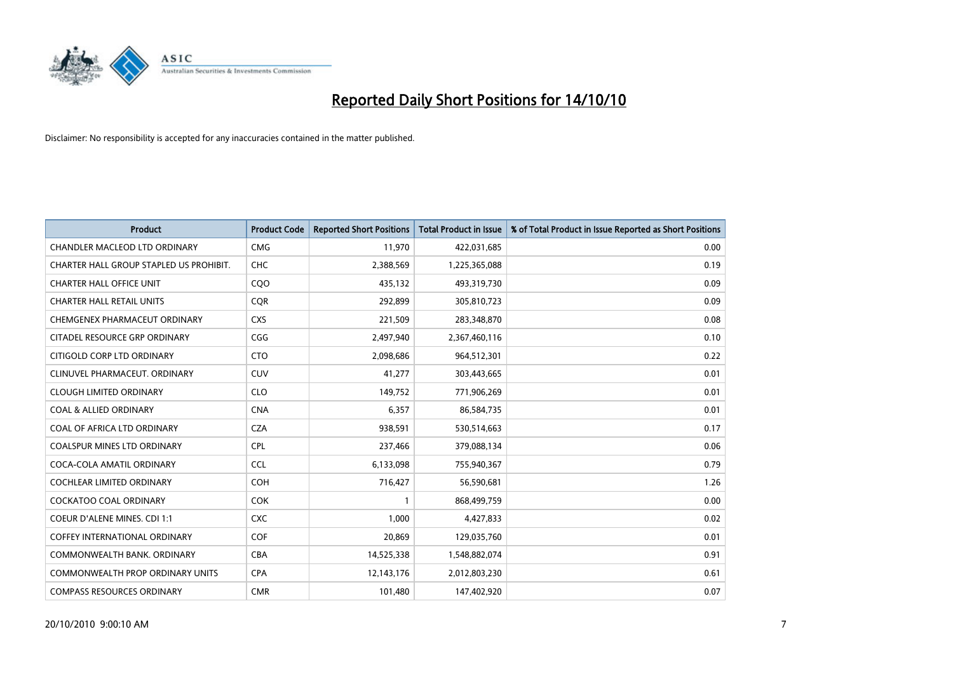

| <b>Product</b>                          | <b>Product Code</b> | <b>Reported Short Positions</b> | <b>Total Product in Issue</b> | % of Total Product in Issue Reported as Short Positions |
|-----------------------------------------|---------------------|---------------------------------|-------------------------------|---------------------------------------------------------|
| <b>CHANDLER MACLEOD LTD ORDINARY</b>    | <b>CMG</b>          | 11,970                          | 422,031,685                   | 0.00                                                    |
| CHARTER HALL GROUP STAPLED US PROHIBIT. | CHC                 | 2,388,569                       | 1,225,365,088                 | 0.19                                                    |
| <b>CHARTER HALL OFFICE UNIT</b>         | CQO                 | 435,132                         | 493,319,730                   | 0.09                                                    |
| <b>CHARTER HALL RETAIL UNITS</b>        | <b>COR</b>          | 292,899                         | 305,810,723                   | 0.09                                                    |
| CHEMGENEX PHARMACEUT ORDINARY           | <b>CXS</b>          | 221,509                         | 283,348,870                   | 0.08                                                    |
| CITADEL RESOURCE GRP ORDINARY           | CGG                 | 2,497,940                       | 2,367,460,116                 | 0.10                                                    |
| CITIGOLD CORP LTD ORDINARY              | <b>CTO</b>          | 2,098,686                       | 964,512,301                   | 0.22                                                    |
| CLINUVEL PHARMACEUT, ORDINARY           | CUV                 | 41,277                          | 303,443,665                   | 0.01                                                    |
| <b>CLOUGH LIMITED ORDINARY</b>          | <b>CLO</b>          | 149,752                         | 771,906,269                   | 0.01                                                    |
| <b>COAL &amp; ALLIED ORDINARY</b>       | <b>CNA</b>          | 6,357                           | 86,584,735                    | 0.01                                                    |
| COAL OF AFRICA LTD ORDINARY             | <b>CZA</b>          | 938,591                         | 530,514,663                   | 0.17                                                    |
| <b>COALSPUR MINES LTD ORDINARY</b>      | <b>CPL</b>          | 237,466                         | 379,088,134                   | 0.06                                                    |
| COCA-COLA AMATIL ORDINARY               | <b>CCL</b>          | 6,133,098                       | 755,940,367                   | 0.79                                                    |
| <b>COCHLEAR LIMITED ORDINARY</b>        | COH                 | 716,427                         | 56,590,681                    | 1.26                                                    |
| <b>COCKATOO COAL ORDINARY</b>           | <b>COK</b>          |                                 | 868,499,759                   | 0.00                                                    |
| <b>COEUR D'ALENE MINES. CDI 1:1</b>     | <b>CXC</b>          | 1,000                           | 4,427,833                     | 0.02                                                    |
| <b>COFFEY INTERNATIONAL ORDINARY</b>    | COF                 | 20,869                          | 129,035,760                   | 0.01                                                    |
| COMMONWEALTH BANK, ORDINARY             | <b>CBA</b>          | 14,525,338                      | 1,548,882,074                 | 0.91                                                    |
| <b>COMMONWEALTH PROP ORDINARY UNITS</b> | <b>CPA</b>          | 12,143,176                      | 2,012,803,230                 | 0.61                                                    |
| <b>COMPASS RESOURCES ORDINARY</b>       | <b>CMR</b>          | 101,480                         | 147,402,920                   | 0.07                                                    |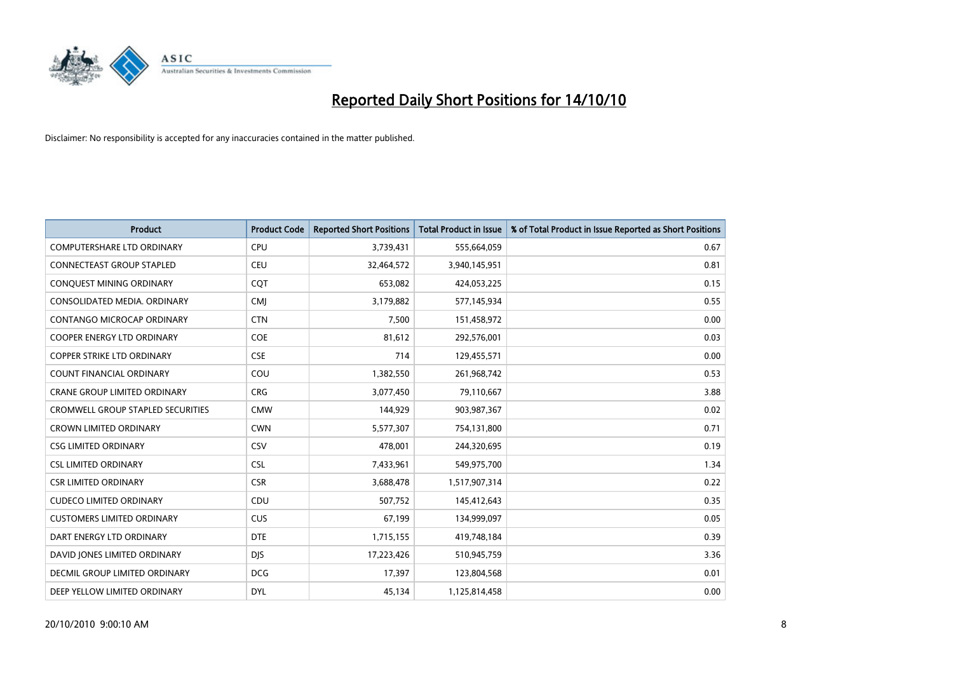

| <b>Product</b>                           | <b>Product Code</b> | <b>Reported Short Positions</b> | <b>Total Product in Issue</b> | % of Total Product in Issue Reported as Short Positions |
|------------------------------------------|---------------------|---------------------------------|-------------------------------|---------------------------------------------------------|
| <b>COMPUTERSHARE LTD ORDINARY</b>        | <b>CPU</b>          | 3,739,431                       | 555,664,059                   | 0.67                                                    |
| CONNECTEAST GROUP STAPLED                | CEU                 | 32,464,572                      | 3,940,145,951                 | 0.81                                                    |
| CONQUEST MINING ORDINARY                 | CQT                 | 653,082                         | 424,053,225                   | 0.15                                                    |
| CONSOLIDATED MEDIA. ORDINARY             | <b>CMI</b>          | 3,179,882                       | 577,145,934                   | 0.55                                                    |
| CONTANGO MICROCAP ORDINARY               | <b>CTN</b>          | 7,500                           | 151,458,972                   | 0.00                                                    |
| <b>COOPER ENERGY LTD ORDINARY</b>        | <b>COE</b>          | 81,612                          | 292,576,001                   | 0.03                                                    |
| <b>COPPER STRIKE LTD ORDINARY</b>        | <b>CSE</b>          | 714                             | 129,455,571                   | 0.00                                                    |
| <b>COUNT FINANCIAL ORDINARY</b>          | COU                 | 1,382,550                       | 261,968,742                   | 0.53                                                    |
| CRANE GROUP LIMITED ORDINARY             | <b>CRG</b>          | 3,077,450                       | 79,110,667                    | 3.88                                                    |
| <b>CROMWELL GROUP STAPLED SECURITIES</b> | <b>CMW</b>          | 144,929                         | 903,987,367                   | 0.02                                                    |
| <b>CROWN LIMITED ORDINARY</b>            | <b>CWN</b>          | 5,577,307                       | 754,131,800                   | 0.71                                                    |
| <b>CSG LIMITED ORDINARY</b>              | CSV                 | 478,001                         | 244,320,695                   | 0.19                                                    |
| <b>CSL LIMITED ORDINARY</b>              | <b>CSL</b>          | 7,433,961                       | 549,975,700                   | 1.34                                                    |
| <b>CSR LIMITED ORDINARY</b>              | <b>CSR</b>          | 3,688,478                       | 1,517,907,314                 | 0.22                                                    |
| <b>CUDECO LIMITED ORDINARY</b>           | CDU                 | 507,752                         | 145,412,643                   | 0.35                                                    |
| <b>CUSTOMERS LIMITED ORDINARY</b>        | <b>CUS</b>          | 67,199                          | 134,999,097                   | 0.05                                                    |
| DART ENERGY LTD ORDINARY                 | <b>DTE</b>          | 1,715,155                       | 419,748,184                   | 0.39                                                    |
| DAVID JONES LIMITED ORDINARY             | DJS.                | 17,223,426                      | 510,945,759                   | 3.36                                                    |
| DECMIL GROUP LIMITED ORDINARY            | <b>DCG</b>          | 17,397                          | 123,804,568                   | 0.01                                                    |
| DEEP YELLOW LIMITED ORDINARY             | <b>DYL</b>          | 45,134                          | 1,125,814,458                 | 0.00                                                    |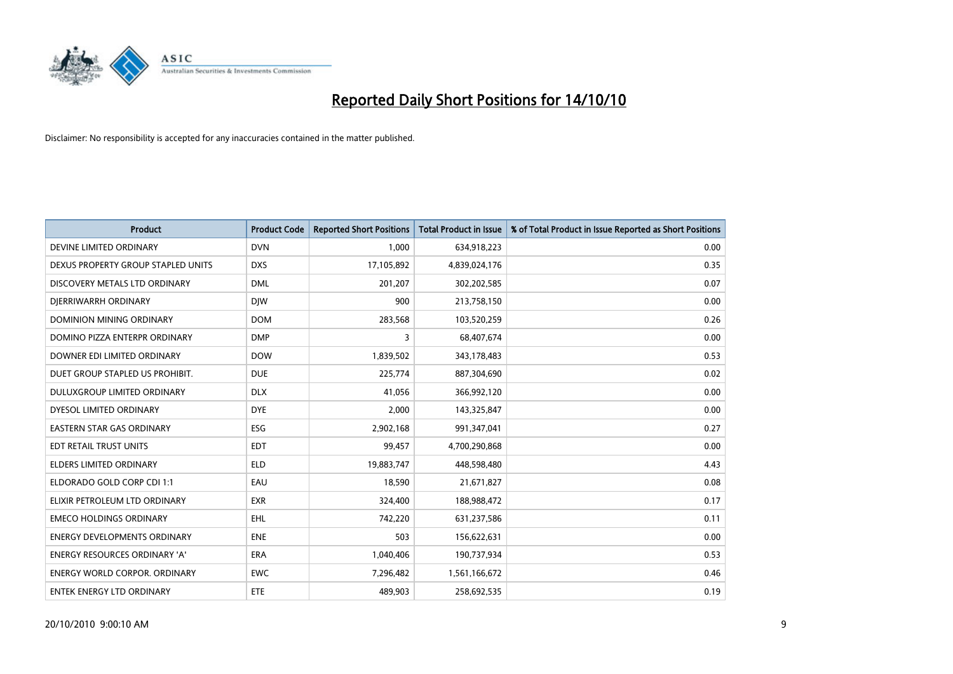

| <b>Product</b>                       | <b>Product Code</b> | <b>Reported Short Positions</b> | <b>Total Product in Issue</b> | % of Total Product in Issue Reported as Short Positions |
|--------------------------------------|---------------------|---------------------------------|-------------------------------|---------------------------------------------------------|
| DEVINE LIMITED ORDINARY              | <b>DVN</b>          | 1,000                           | 634,918,223                   | 0.00                                                    |
| DEXUS PROPERTY GROUP STAPLED UNITS   | <b>DXS</b>          | 17,105,892                      | 4,839,024,176                 | 0.35                                                    |
| DISCOVERY METALS LTD ORDINARY        | <b>DML</b>          | 201,207                         | 302,202,585                   | 0.07                                                    |
| DJERRIWARRH ORDINARY                 | <b>DIW</b>          | 900                             | 213,758,150                   | 0.00                                                    |
| DOMINION MINING ORDINARY             | <b>DOM</b>          | 283,568                         | 103,520,259                   | 0.26                                                    |
| DOMINO PIZZA ENTERPR ORDINARY        | <b>DMP</b>          | 3                               | 68,407,674                    | 0.00                                                    |
| DOWNER EDI LIMITED ORDINARY          | <b>DOW</b>          | 1,839,502                       | 343,178,483                   | 0.53                                                    |
| DUET GROUP STAPLED US PROHIBIT.      | <b>DUE</b>          | 225,774                         | 887,304,690                   | 0.02                                                    |
| DULUXGROUP LIMITED ORDINARY          | <b>DLX</b>          | 41,056                          | 366,992,120                   | 0.00                                                    |
| DYESOL LIMITED ORDINARY              | <b>DYE</b>          | 2,000                           | 143,325,847                   | 0.00                                                    |
| EASTERN STAR GAS ORDINARY            | <b>ESG</b>          | 2,902,168                       | 991,347,041                   | 0.27                                                    |
| EDT RETAIL TRUST UNITS               | <b>EDT</b>          | 99,457                          | 4,700,290,868                 | 0.00                                                    |
| <b>ELDERS LIMITED ORDINARY</b>       | <b>ELD</b>          | 19,883,747                      | 448,598,480                   | 4.43                                                    |
| ELDORADO GOLD CORP CDI 1:1           | EAU                 | 18,590                          | 21,671,827                    | 0.08                                                    |
| ELIXIR PETROLEUM LTD ORDINARY        | <b>EXR</b>          | 324,400                         | 188,988,472                   | 0.17                                                    |
| <b>EMECO HOLDINGS ORDINARY</b>       | <b>EHL</b>          | 742,220                         | 631,237,586                   | 0.11                                                    |
| <b>ENERGY DEVELOPMENTS ORDINARY</b>  | <b>ENE</b>          | 503                             | 156,622,631                   | 0.00                                                    |
| <b>ENERGY RESOURCES ORDINARY 'A'</b> | <b>ERA</b>          | 1,040,406                       | 190,737,934                   | 0.53                                                    |
| <b>ENERGY WORLD CORPOR, ORDINARY</b> | <b>EWC</b>          | 7,296,482                       | 1,561,166,672                 | 0.46                                                    |
| ENTEK ENERGY LTD ORDINARY            | ETE                 | 489,903                         | 258,692,535                   | 0.19                                                    |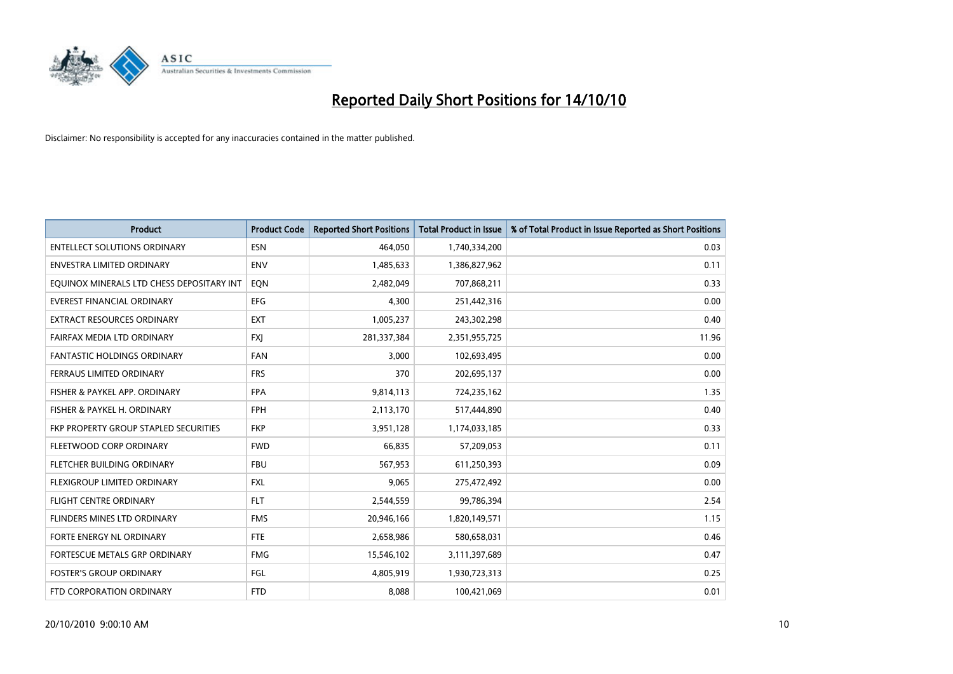

| <b>Product</b>                            | <b>Product Code</b> | <b>Reported Short Positions</b> | <b>Total Product in Issue</b> | % of Total Product in Issue Reported as Short Positions |
|-------------------------------------------|---------------------|---------------------------------|-------------------------------|---------------------------------------------------------|
| <b>ENTELLECT SOLUTIONS ORDINARY</b>       | <b>ESN</b>          | 464,050                         | 1,740,334,200                 | 0.03                                                    |
| ENVESTRA LIMITED ORDINARY                 | ENV                 | 1,485,633                       | 1,386,827,962                 | 0.11                                                    |
| EQUINOX MINERALS LTD CHESS DEPOSITARY INT | EON                 | 2,482,049                       | 707,868,211                   | 0.33                                                    |
| <b>EVEREST FINANCIAL ORDINARY</b>         | EFG                 | 4,300                           | 251,442,316                   | 0.00                                                    |
| <b>EXTRACT RESOURCES ORDINARY</b>         | <b>EXT</b>          | 1,005,237                       | 243,302,298                   | 0.40                                                    |
| FAIRFAX MEDIA LTD ORDINARY                | <b>FXJ</b>          | 281,337,384                     | 2,351,955,725                 | 11.96                                                   |
| <b>FANTASTIC HOLDINGS ORDINARY</b>        | <b>FAN</b>          | 3,000                           | 102,693,495                   | 0.00                                                    |
| FERRAUS LIMITED ORDINARY                  | <b>FRS</b>          | 370                             | 202,695,137                   | 0.00                                                    |
| FISHER & PAYKEL APP. ORDINARY             | <b>FPA</b>          | 9,814,113                       | 724,235,162                   | 1.35                                                    |
| FISHER & PAYKEL H. ORDINARY               | <b>FPH</b>          | 2,113,170                       | 517,444,890                   | 0.40                                                    |
| FKP PROPERTY GROUP STAPLED SECURITIES     | <b>FKP</b>          | 3,951,128                       | 1,174,033,185                 | 0.33                                                    |
| FLEETWOOD CORP ORDINARY                   | <b>FWD</b>          | 66,835                          | 57,209,053                    | 0.11                                                    |
| FLETCHER BUILDING ORDINARY                | <b>FBU</b>          | 567,953                         | 611,250,393                   | 0.09                                                    |
| FLEXIGROUP LIMITED ORDINARY               | <b>FXL</b>          | 9,065                           | 275,472,492                   | 0.00                                                    |
| <b>FLIGHT CENTRE ORDINARY</b>             | <b>FLT</b>          | 2,544,559                       | 99,786,394                    | 2.54                                                    |
| FLINDERS MINES LTD ORDINARY               | <b>FMS</b>          | 20,946,166                      | 1,820,149,571                 | 1.15                                                    |
| FORTE ENERGY NL ORDINARY                  | <b>FTE</b>          | 2,658,986                       | 580,658,031                   | 0.46                                                    |
| FORTESCUE METALS GRP ORDINARY             | <b>FMG</b>          | 15,546,102                      | 3,111,397,689                 | 0.47                                                    |
| <b>FOSTER'S GROUP ORDINARY</b>            | FGL                 | 4,805,919                       | 1,930,723,313                 | 0.25                                                    |
| FTD CORPORATION ORDINARY                  | <b>FTD</b>          | 8,088                           | 100,421,069                   | 0.01                                                    |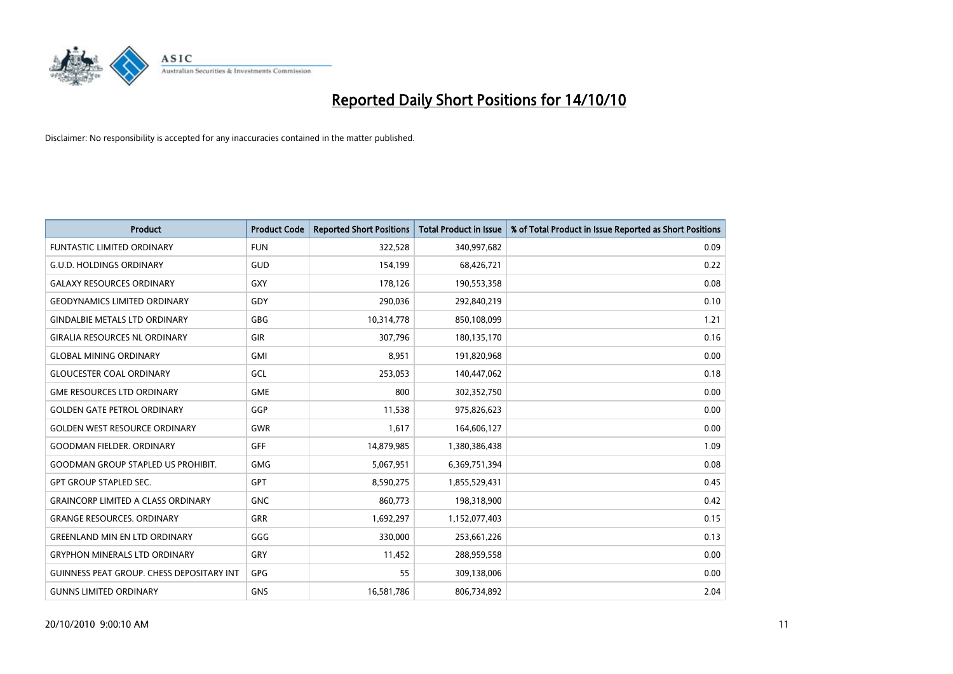

| <b>Product</b>                                   | <b>Product Code</b> | <b>Reported Short Positions</b> | <b>Total Product in Issue</b> | % of Total Product in Issue Reported as Short Positions |
|--------------------------------------------------|---------------------|---------------------------------|-------------------------------|---------------------------------------------------------|
| <b>FUNTASTIC LIMITED ORDINARY</b>                | <b>FUN</b>          | 322,528                         | 340,997,682                   | 0.09                                                    |
| <b>G.U.D. HOLDINGS ORDINARY</b>                  | GUD                 | 154,199                         | 68,426,721                    | 0.22                                                    |
| <b>GALAXY RESOURCES ORDINARY</b>                 | <b>GXY</b>          | 178,126                         | 190,553,358                   | 0.08                                                    |
| <b>GEODYNAMICS LIMITED ORDINARY</b>              | GDY                 | 290,036                         | 292,840,219                   | 0.10                                                    |
| <b>GINDALBIE METALS LTD ORDINARY</b>             | <b>GBG</b>          | 10,314,778                      | 850,108,099                   | 1.21                                                    |
| <b>GIRALIA RESOURCES NL ORDINARY</b>             | GIR                 | 307,796                         | 180,135,170                   | 0.16                                                    |
| <b>GLOBAL MINING ORDINARY</b>                    | <b>GMI</b>          | 8,951                           | 191,820,968                   | 0.00                                                    |
| <b>GLOUCESTER COAL ORDINARY</b>                  | GCL                 | 253,053                         | 140,447,062                   | 0.18                                                    |
| <b>GME RESOURCES LTD ORDINARY</b>                | <b>GME</b>          | 800                             | 302,352,750                   | 0.00                                                    |
| <b>GOLDEN GATE PETROL ORDINARY</b>               | GGP                 | 11,538                          | 975,826,623                   | 0.00                                                    |
| <b>GOLDEN WEST RESOURCE ORDINARY</b>             | <b>GWR</b>          | 1,617                           | 164,606,127                   | 0.00                                                    |
| <b>GOODMAN FIELDER, ORDINARY</b>                 | <b>GFF</b>          | 14,879,985                      | 1,380,386,438                 | 1.09                                                    |
| <b>GOODMAN GROUP STAPLED US PROHIBIT.</b>        | <b>GMG</b>          | 5,067,951                       | 6,369,751,394                 | 0.08                                                    |
| <b>GPT GROUP STAPLED SEC.</b>                    | <b>GPT</b>          | 8,590,275                       | 1,855,529,431                 | 0.45                                                    |
| <b>GRAINCORP LIMITED A CLASS ORDINARY</b>        | <b>GNC</b>          | 860.773                         | 198,318,900                   | 0.42                                                    |
| <b>GRANGE RESOURCES, ORDINARY</b>                | <b>GRR</b>          | 1,692,297                       | 1,152,077,403                 | 0.15                                                    |
| <b>GREENLAND MIN EN LTD ORDINARY</b>             | GGG                 | 330,000                         | 253,661,226                   | 0.13                                                    |
| <b>GRYPHON MINERALS LTD ORDINARY</b>             | GRY                 | 11,452                          | 288,959,558                   | 0.00                                                    |
| <b>GUINNESS PEAT GROUP. CHESS DEPOSITARY INT</b> | GPG                 | 55                              | 309,138,006                   | 0.00                                                    |
| <b>GUNNS LIMITED ORDINARY</b>                    | <b>GNS</b>          | 16,581,786                      | 806,734,892                   | 2.04                                                    |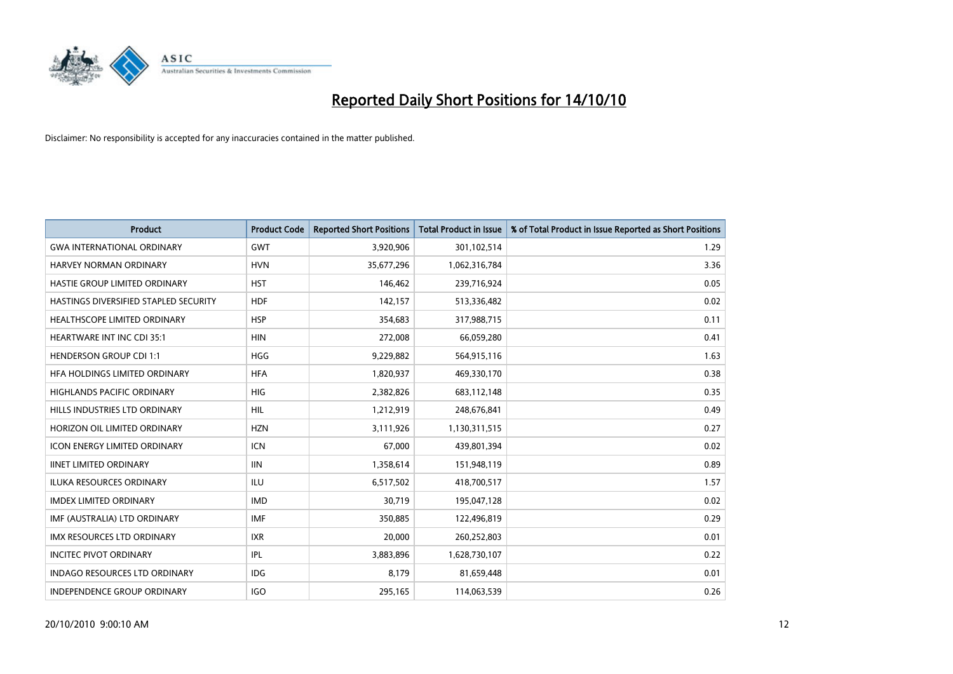

| <b>Product</b>                        | <b>Product Code</b> | <b>Reported Short Positions</b> | <b>Total Product in Issue</b> | % of Total Product in Issue Reported as Short Positions |
|---------------------------------------|---------------------|---------------------------------|-------------------------------|---------------------------------------------------------|
| <b>GWA INTERNATIONAL ORDINARY</b>     | <b>GWT</b>          | 3,920,906                       | 301,102,514                   | 1.29                                                    |
| HARVEY NORMAN ORDINARY                | <b>HVN</b>          | 35,677,296                      | 1,062,316,784                 | 3.36                                                    |
| HASTIE GROUP LIMITED ORDINARY         | <b>HST</b>          | 146,462                         | 239,716,924                   | 0.05                                                    |
| HASTINGS DIVERSIFIED STAPLED SECURITY | <b>HDF</b>          | 142,157                         | 513,336,482                   | 0.02                                                    |
| HEALTHSCOPE LIMITED ORDINARY          | <b>HSP</b>          | 354,683                         | 317,988,715                   | 0.11                                                    |
| <b>HEARTWARE INT INC CDI 35:1</b>     | <b>HIN</b>          | 272,008                         | 66,059,280                    | 0.41                                                    |
| <b>HENDERSON GROUP CDI 1:1</b>        | <b>HGG</b>          | 9,229,882                       | 564,915,116                   | 1.63                                                    |
| HFA HOLDINGS LIMITED ORDINARY         | <b>HFA</b>          | 1,820,937                       | 469,330,170                   | 0.38                                                    |
| HIGHLANDS PACIFIC ORDINARY            | <b>HIG</b>          | 2,382,826                       | 683,112,148                   | 0.35                                                    |
| HILLS INDUSTRIES LTD ORDINARY         | <b>HIL</b>          | 1,212,919                       | 248,676,841                   | 0.49                                                    |
| HORIZON OIL LIMITED ORDINARY          | <b>HZN</b>          | 3,111,926                       | 1,130,311,515                 | 0.27                                                    |
| <b>ICON ENERGY LIMITED ORDINARY</b>   | <b>ICN</b>          | 67,000                          | 439,801,394                   | 0.02                                                    |
| <b>IINET LIMITED ORDINARY</b>         | <b>IIN</b>          | 1,358,614                       | 151,948,119                   | 0.89                                                    |
| <b>ILUKA RESOURCES ORDINARY</b>       | <b>ILU</b>          | 6,517,502                       | 418,700,517                   | 1.57                                                    |
| <b>IMDEX LIMITED ORDINARY</b>         | <b>IMD</b>          | 30,719                          | 195,047,128                   | 0.02                                                    |
| IMF (AUSTRALIA) LTD ORDINARY          | <b>IMF</b>          | 350,885                         | 122,496,819                   | 0.29                                                    |
| <b>IMX RESOURCES LTD ORDINARY</b>     | <b>IXR</b>          | 20,000                          | 260,252,803                   | 0.01                                                    |
| <b>INCITEC PIVOT ORDINARY</b>         | IPL                 | 3,883,896                       | 1,628,730,107                 | 0.22                                                    |
| <b>INDAGO RESOURCES LTD ORDINARY</b>  | <b>IDG</b>          | 8,179                           | 81,659,448                    | 0.01                                                    |
| INDEPENDENCE GROUP ORDINARY           | <b>IGO</b>          | 295,165                         | 114,063,539                   | 0.26                                                    |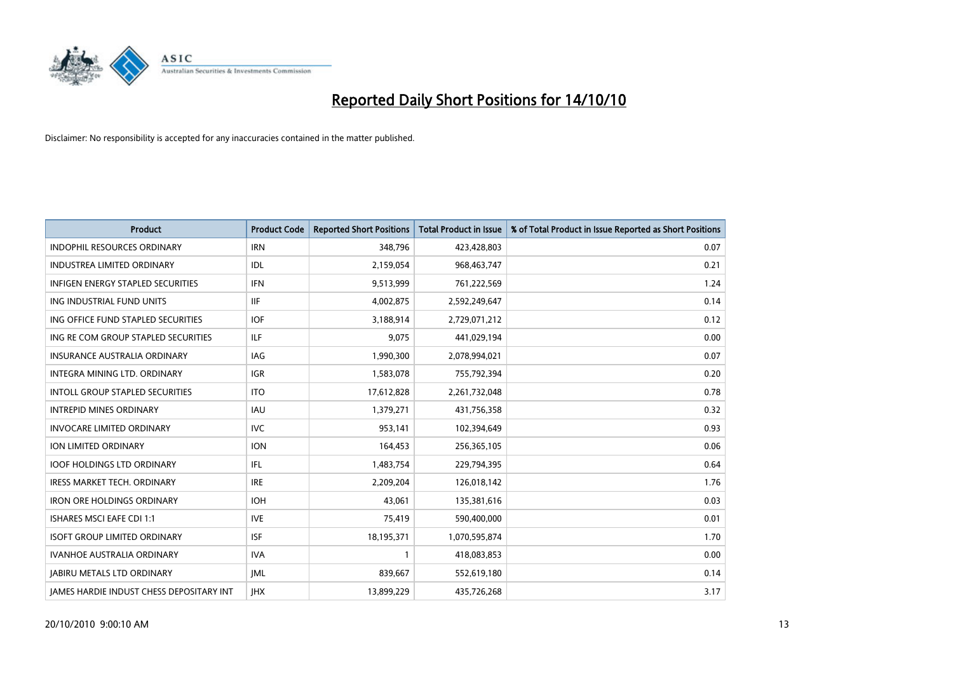

| <b>Product</b>                                  | <b>Product Code</b> | <b>Reported Short Positions</b> | <b>Total Product in Issue</b> | % of Total Product in Issue Reported as Short Positions |
|-------------------------------------------------|---------------------|---------------------------------|-------------------------------|---------------------------------------------------------|
| <b>INDOPHIL RESOURCES ORDINARY</b>              | <b>IRN</b>          | 348.796                         | 423,428,803                   | 0.07                                                    |
| <b>INDUSTREA LIMITED ORDINARY</b>               | IDL                 | 2,159,054                       | 968,463,747                   | 0.21                                                    |
| <b>INFIGEN ENERGY STAPLED SECURITIES</b>        | <b>IFN</b>          | 9,513,999                       | 761,222,569                   | 1.24                                                    |
| ING INDUSTRIAL FUND UNITS                       | <b>IIF</b>          | 4,002,875                       | 2,592,249,647                 | 0.14                                                    |
| ING OFFICE FUND STAPLED SECURITIES              | <b>IOF</b>          | 3,188,914                       | 2,729,071,212                 | 0.12                                                    |
| ING RE COM GROUP STAPLED SECURITIES             | <b>ILF</b>          | 9,075                           | 441,029,194                   | 0.00                                                    |
| INSURANCE AUSTRALIA ORDINARY                    | IAG                 | 1,990,300                       | 2,078,994,021                 | 0.07                                                    |
| <b>INTEGRA MINING LTD, ORDINARY</b>             | <b>IGR</b>          | 1,583,078                       | 755,792,394                   | 0.20                                                    |
| <b>INTOLL GROUP STAPLED SECURITIES</b>          | <b>ITO</b>          | 17,612,828                      | 2,261,732,048                 | 0.78                                                    |
| <b>INTREPID MINES ORDINARY</b>                  | <b>IAU</b>          | 1,379,271                       | 431,756,358                   | 0.32                                                    |
| <b>INVOCARE LIMITED ORDINARY</b>                | <b>IVC</b>          | 953,141                         | 102,394,649                   | 0.93                                                    |
| ION LIMITED ORDINARY                            | <b>ION</b>          | 164,453                         | 256,365,105                   | 0.06                                                    |
| <b>IOOF HOLDINGS LTD ORDINARY</b>               | <b>IFL</b>          | 1,483,754                       | 229,794,395                   | 0.64                                                    |
| <b>IRESS MARKET TECH. ORDINARY</b>              | <b>IRE</b>          | 2,209,204                       | 126,018,142                   | 1.76                                                    |
| <b>IRON ORE HOLDINGS ORDINARY</b>               | <b>IOH</b>          | 43.061                          | 135,381,616                   | 0.03                                                    |
| <b>ISHARES MSCI EAFE CDI 1:1</b>                | <b>IVE</b>          | 75,419                          | 590,400,000                   | 0.01                                                    |
| <b>ISOFT GROUP LIMITED ORDINARY</b>             | <b>ISF</b>          | 18,195,371                      | 1,070,595,874                 | 1.70                                                    |
| IVANHOE AUSTRALIA ORDINARY                      | <b>IVA</b>          |                                 | 418,083,853                   | 0.00                                                    |
| <b>JABIRU METALS LTD ORDINARY</b>               | <b>IML</b>          | 839,667                         | 552,619,180                   | 0.14                                                    |
| <b>JAMES HARDIE INDUST CHESS DEPOSITARY INT</b> | <b>IHX</b>          | 13,899,229                      | 435,726,268                   | 3.17                                                    |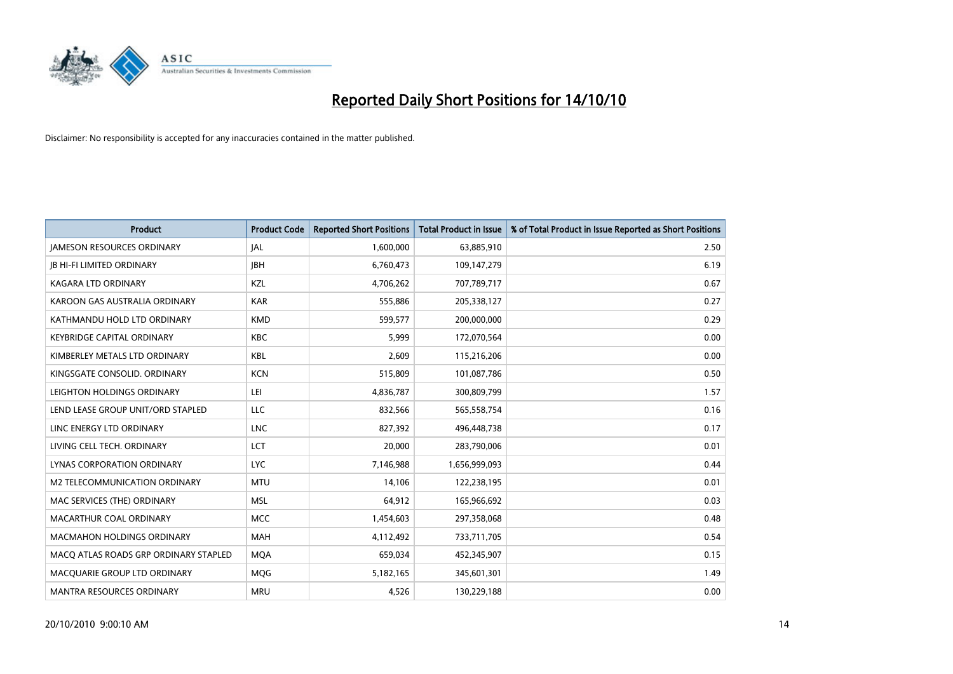

| <b>Product</b>                        | <b>Product Code</b> | <b>Reported Short Positions</b> | <b>Total Product in Issue</b> | % of Total Product in Issue Reported as Short Positions |
|---------------------------------------|---------------------|---------------------------------|-------------------------------|---------------------------------------------------------|
| <b>JAMESON RESOURCES ORDINARY</b>     | JAL                 | 1,600,000                       | 63,885,910                    | 2.50                                                    |
| <b>IB HI-FI LIMITED ORDINARY</b>      | <b>JBH</b>          | 6,760,473                       | 109,147,279                   | 6.19                                                    |
| <b>KAGARA LTD ORDINARY</b>            | KZL                 | 4,706,262                       | 707,789,717                   | 0.67                                                    |
| KAROON GAS AUSTRALIA ORDINARY         | <b>KAR</b>          | 555,886                         | 205,338,127                   | 0.27                                                    |
| KATHMANDU HOLD LTD ORDINARY           | <b>KMD</b>          | 599,577                         | 200,000,000                   | 0.29                                                    |
| <b>KEYBRIDGE CAPITAL ORDINARY</b>     | <b>KBC</b>          | 5,999                           | 172,070,564                   | 0.00                                                    |
| KIMBERLEY METALS LTD ORDINARY         | <b>KBL</b>          | 2,609                           | 115,216,206                   | 0.00                                                    |
| KINGSGATE CONSOLID. ORDINARY          | <b>KCN</b>          | 515,809                         | 101,087,786                   | 0.50                                                    |
| LEIGHTON HOLDINGS ORDINARY            | LEI                 | 4,836,787                       | 300,809,799                   | 1.57                                                    |
| LEND LEASE GROUP UNIT/ORD STAPLED     | <b>LLC</b>          | 832,566                         | 565,558,754                   | 0.16                                                    |
| LINC ENERGY LTD ORDINARY              | <b>LNC</b>          | 827,392                         | 496,448,738                   | 0.17                                                    |
| LIVING CELL TECH. ORDINARY            | LCT                 | 20,000                          | 283,790,006                   | 0.01                                                    |
| LYNAS CORPORATION ORDINARY            | <b>LYC</b>          | 7,146,988                       | 1,656,999,093                 | 0.44                                                    |
| M2 TELECOMMUNICATION ORDINARY         | <b>MTU</b>          | 14,106                          | 122,238,195                   | 0.01                                                    |
| MAC SERVICES (THE) ORDINARY           | <b>MSL</b>          | 64,912                          | 165,966,692                   | 0.03                                                    |
| MACARTHUR COAL ORDINARY               | <b>MCC</b>          | 1,454,603                       | 297,358,068                   | 0.48                                                    |
| MACMAHON HOLDINGS ORDINARY            | <b>MAH</b>          | 4,112,492                       | 733,711,705                   | 0.54                                                    |
| MACQ ATLAS ROADS GRP ORDINARY STAPLED | <b>MQA</b>          | 659,034                         | 452,345,907                   | 0.15                                                    |
| MACQUARIE GROUP LTD ORDINARY          | <b>MOG</b>          | 5,182,165                       | 345,601,301                   | 1.49                                                    |
| MANTRA RESOURCES ORDINARY             | <b>MRU</b>          | 4,526                           | 130,229,188                   | 0.00                                                    |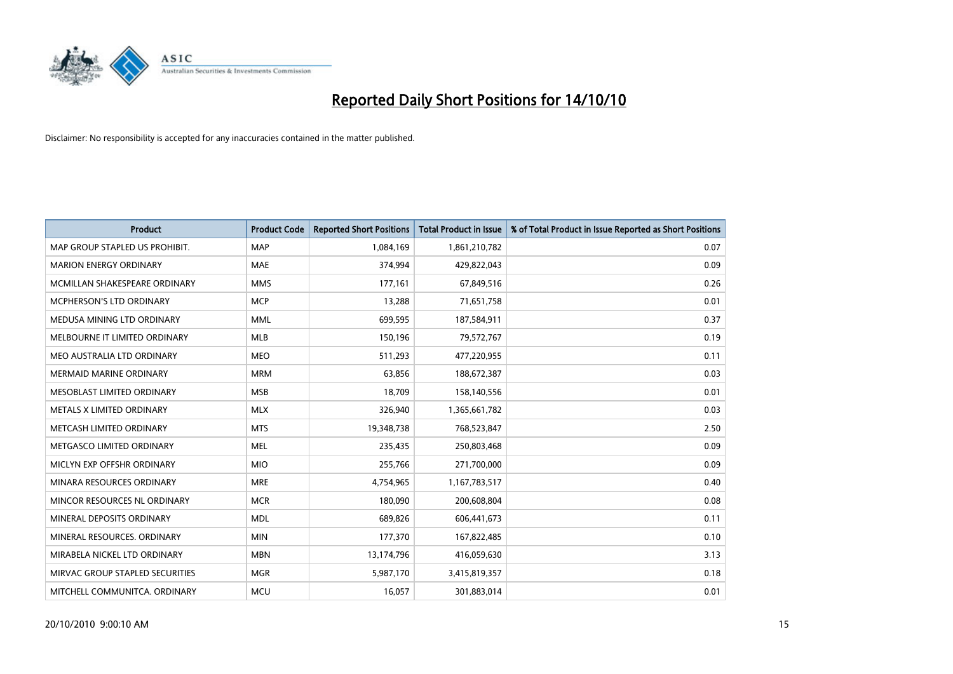

| <b>Product</b>                  | <b>Product Code</b> | <b>Reported Short Positions</b> | <b>Total Product in Issue</b> | % of Total Product in Issue Reported as Short Positions |
|---------------------------------|---------------------|---------------------------------|-------------------------------|---------------------------------------------------------|
| MAP GROUP STAPLED US PROHIBIT.  | <b>MAP</b>          | 1,084,169                       | 1,861,210,782                 | 0.07                                                    |
| <b>MARION ENERGY ORDINARY</b>   | <b>MAE</b>          | 374,994                         | 429,822,043                   | 0.09                                                    |
| MCMILLAN SHAKESPEARE ORDINARY   | <b>MMS</b>          | 177,161                         | 67,849,516                    | 0.26                                                    |
| <b>MCPHERSON'S LTD ORDINARY</b> | <b>MCP</b>          | 13,288                          | 71,651,758                    | 0.01                                                    |
| MEDUSA MINING LTD ORDINARY      | <b>MML</b>          | 699,595                         | 187,584,911                   | 0.37                                                    |
| MELBOURNE IT LIMITED ORDINARY   | <b>MLB</b>          | 150,196                         | 79,572,767                    | 0.19                                                    |
| MEO AUSTRALIA LTD ORDINARY      | <b>MEO</b>          | 511,293                         | 477,220,955                   | 0.11                                                    |
| MERMAID MARINE ORDINARY         | <b>MRM</b>          | 63,856                          | 188,672,387                   | 0.03                                                    |
| MESOBLAST LIMITED ORDINARY      | <b>MSB</b>          | 18,709                          | 158,140,556                   | 0.01                                                    |
| METALS X LIMITED ORDINARY       | <b>MLX</b>          | 326,940                         | 1,365,661,782                 | 0.03                                                    |
| METCASH LIMITED ORDINARY        | <b>MTS</b>          | 19,348,738                      | 768,523,847                   | 2.50                                                    |
| METGASCO LIMITED ORDINARY       | <b>MEL</b>          | 235,435                         | 250,803,468                   | 0.09                                                    |
| MICLYN EXP OFFSHR ORDINARY      | <b>MIO</b>          | 255,766                         | 271,700,000                   | 0.09                                                    |
| MINARA RESOURCES ORDINARY       | <b>MRE</b>          | 4,754,965                       | 1,167,783,517                 | 0.40                                                    |
| MINCOR RESOURCES NL ORDINARY    | <b>MCR</b>          | 180,090                         | 200,608,804                   | 0.08                                                    |
| MINERAL DEPOSITS ORDINARY       | <b>MDL</b>          | 689,826                         | 606,441,673                   | 0.11                                                    |
| MINERAL RESOURCES. ORDINARY     | <b>MIN</b>          | 177,370                         | 167,822,485                   | 0.10                                                    |
| MIRABELA NICKEL LTD ORDINARY    | <b>MBN</b>          | 13,174,796                      | 416,059,630                   | 3.13                                                    |
| MIRVAC GROUP STAPLED SECURITIES | <b>MGR</b>          | 5,987,170                       | 3,415,819,357                 | 0.18                                                    |
| MITCHELL COMMUNITCA, ORDINARY   | <b>MCU</b>          | 16,057                          | 301,883,014                   | 0.01                                                    |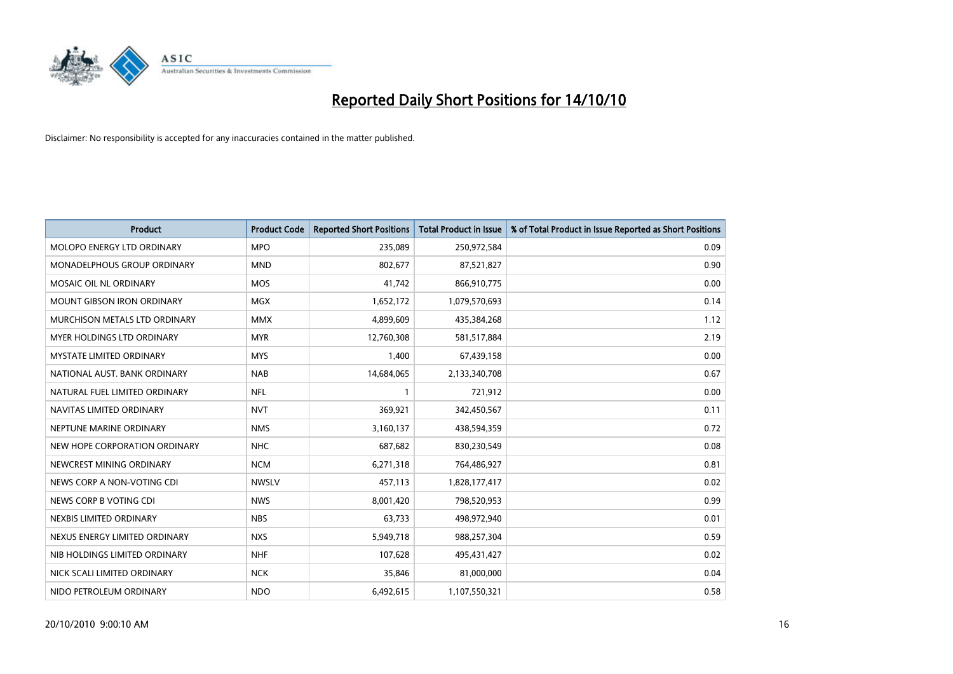

| <b>Product</b>                    | <b>Product Code</b> | <b>Reported Short Positions</b> | <b>Total Product in Issue</b> | % of Total Product in Issue Reported as Short Positions |
|-----------------------------------|---------------------|---------------------------------|-------------------------------|---------------------------------------------------------|
| <b>MOLOPO ENERGY LTD ORDINARY</b> | <b>MPO</b>          | 235,089                         | 250,972,584                   | 0.09                                                    |
| MONADELPHOUS GROUP ORDINARY       | <b>MND</b>          | 802,677                         | 87,521,827                    | 0.90                                                    |
| MOSAIC OIL NL ORDINARY            | <b>MOS</b>          | 41,742                          | 866,910,775                   | 0.00                                                    |
| <b>MOUNT GIBSON IRON ORDINARY</b> | <b>MGX</b>          | 1,652,172                       | 1,079,570,693                 | 0.14                                                    |
| MURCHISON METALS LTD ORDINARY     | <b>MMX</b>          | 4,899,609                       | 435,384,268                   | 1.12                                                    |
| MYER HOLDINGS LTD ORDINARY        | <b>MYR</b>          | 12,760,308                      | 581,517,884                   | 2.19                                                    |
| <b>MYSTATE LIMITED ORDINARY</b>   | <b>MYS</b>          | 1,400                           | 67,439,158                    | 0.00                                                    |
| NATIONAL AUST. BANK ORDINARY      | <b>NAB</b>          | 14,684,065                      | 2,133,340,708                 | 0.67                                                    |
| NATURAL FUEL LIMITED ORDINARY     | <b>NFL</b>          |                                 | 721,912                       | 0.00                                                    |
| NAVITAS LIMITED ORDINARY          | <b>NVT</b>          | 369,921                         | 342,450,567                   | 0.11                                                    |
| NEPTUNE MARINE ORDINARY           | <b>NMS</b>          | 3,160,137                       | 438,594,359                   | 0.72                                                    |
| NEW HOPE CORPORATION ORDINARY     | <b>NHC</b>          | 687,682                         | 830,230,549                   | 0.08                                                    |
| NEWCREST MINING ORDINARY          | <b>NCM</b>          | 6,271,318                       | 764,486,927                   | 0.81                                                    |
| NEWS CORP A NON-VOTING CDI        | <b>NWSLV</b>        | 457,113                         | 1,828,177,417                 | 0.02                                                    |
| NEWS CORP B VOTING CDI            | <b>NWS</b>          | 8,001,420                       | 798,520,953                   | 0.99                                                    |
| NEXBIS LIMITED ORDINARY           | <b>NBS</b>          | 63,733                          | 498,972,940                   | 0.01                                                    |
| NEXUS ENERGY LIMITED ORDINARY     | <b>NXS</b>          | 5,949,718                       | 988,257,304                   | 0.59                                                    |
| NIB HOLDINGS LIMITED ORDINARY     | <b>NHF</b>          | 107,628                         | 495,431,427                   | 0.02                                                    |
| NICK SCALI LIMITED ORDINARY       | <b>NCK</b>          | 35,846                          | 81,000,000                    | 0.04                                                    |
| NIDO PETROLEUM ORDINARY           | <b>NDO</b>          | 6,492,615                       | 1,107,550,321                 | 0.58                                                    |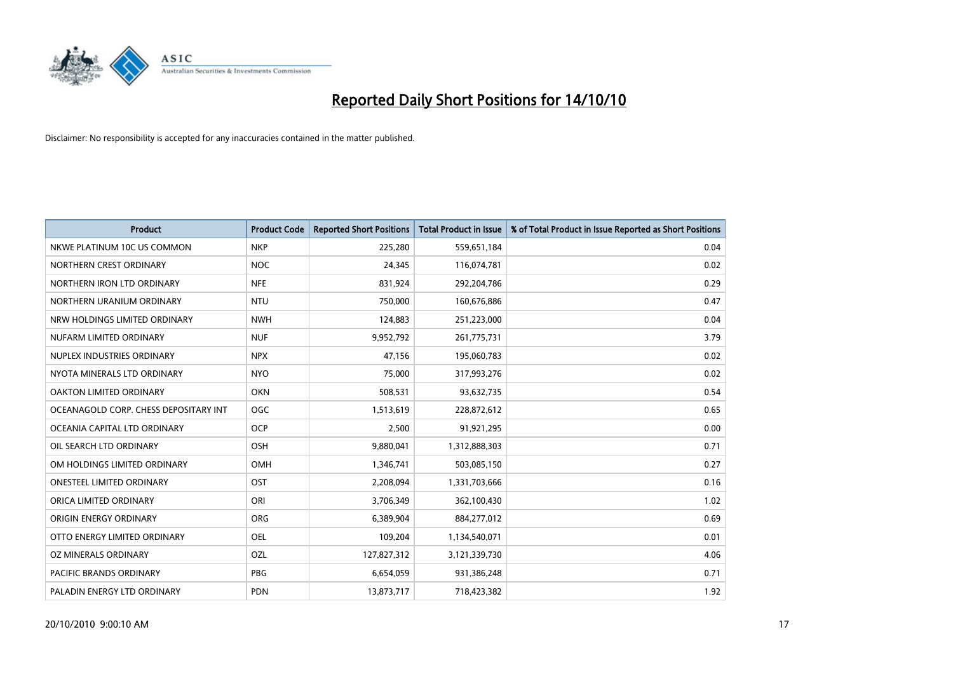

| <b>Product</b>                        | <b>Product Code</b> | <b>Reported Short Positions</b> | <b>Total Product in Issue</b> | % of Total Product in Issue Reported as Short Positions |
|---------------------------------------|---------------------|---------------------------------|-------------------------------|---------------------------------------------------------|
| NKWE PLATINUM 10C US COMMON           | <b>NKP</b>          | 225,280                         | 559,651,184                   | 0.04                                                    |
| NORTHERN CREST ORDINARY               | <b>NOC</b>          | 24,345                          | 116,074,781                   | 0.02                                                    |
| NORTHERN IRON LTD ORDINARY            | <b>NFE</b>          | 831,924                         | 292,204,786                   | 0.29                                                    |
| NORTHERN URANIUM ORDINARY             | <b>NTU</b>          | 750,000                         | 160,676,886                   | 0.47                                                    |
| NRW HOLDINGS LIMITED ORDINARY         | <b>NWH</b>          | 124,883                         | 251,223,000                   | 0.04                                                    |
| NUFARM LIMITED ORDINARY               | <b>NUF</b>          | 9,952,792                       | 261,775,731                   | 3.79                                                    |
| NUPLEX INDUSTRIES ORDINARY            | <b>NPX</b>          | 47.156                          | 195,060,783                   | 0.02                                                    |
| NYOTA MINERALS LTD ORDINARY           | <b>NYO</b>          | 75,000                          | 317,993,276                   | 0.02                                                    |
| OAKTON LIMITED ORDINARY               | <b>OKN</b>          | 508,531                         | 93,632,735                    | 0.54                                                    |
| OCEANAGOLD CORP. CHESS DEPOSITARY INT | <b>OGC</b>          | 1,513,619                       | 228,872,612                   | 0.65                                                    |
| OCEANIA CAPITAL LTD ORDINARY          | <b>OCP</b>          | 2,500                           | 91,921,295                    | 0.00                                                    |
| OIL SEARCH LTD ORDINARY               | <b>OSH</b>          | 9,880,041                       | 1,312,888,303                 | 0.71                                                    |
| OM HOLDINGS LIMITED ORDINARY          | <b>OMH</b>          | 1,346,741                       | 503,085,150                   | 0.27                                                    |
| <b>ONESTEEL LIMITED ORDINARY</b>      | OST                 | 2,208,094                       | 1,331,703,666                 | 0.16                                                    |
| ORICA LIMITED ORDINARY                | ORI                 | 3,706,349                       | 362,100,430                   | 1.02                                                    |
| ORIGIN ENERGY ORDINARY                | ORG                 | 6,389,904                       | 884,277,012                   | 0.69                                                    |
| OTTO ENERGY LIMITED ORDINARY          | <b>OEL</b>          | 109,204                         | 1,134,540,071                 | 0.01                                                    |
| OZ MINERALS ORDINARY                  | OZL                 | 127,827,312                     | 3,121,339,730                 | 4.06                                                    |
| <b>PACIFIC BRANDS ORDINARY</b>        | PBG                 | 6,654,059                       | 931,386,248                   | 0.71                                                    |
| PALADIN ENERGY LTD ORDINARY           | <b>PDN</b>          | 13,873,717                      | 718,423,382                   | 1.92                                                    |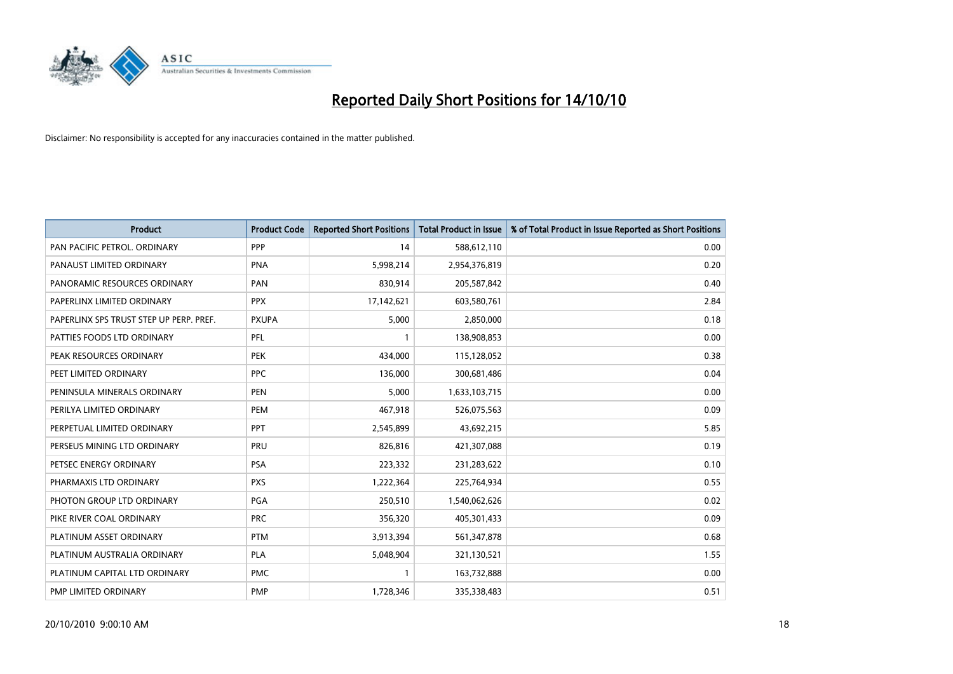

| <b>Product</b>                          | <b>Product Code</b> | <b>Reported Short Positions</b> | <b>Total Product in Issue</b> | % of Total Product in Issue Reported as Short Positions |
|-----------------------------------------|---------------------|---------------------------------|-------------------------------|---------------------------------------------------------|
| PAN PACIFIC PETROL. ORDINARY            | PPP                 | 14                              | 588,612,110                   | 0.00                                                    |
| PANAUST LIMITED ORDINARY                | <b>PNA</b>          | 5,998,214                       | 2,954,376,819                 | 0.20                                                    |
| PANORAMIC RESOURCES ORDINARY            | PAN                 | 830,914                         | 205,587,842                   | 0.40                                                    |
| PAPERLINX LIMITED ORDINARY              | <b>PPX</b>          | 17,142,621                      | 603,580,761                   | 2.84                                                    |
| PAPERLINX SPS TRUST STEP UP PERP. PREF. | <b>PXUPA</b>        | 5,000                           | 2,850,000                     | 0.18                                                    |
| PATTIES FOODS LTD ORDINARY              | PFL                 |                                 | 138,908,853                   | 0.00                                                    |
| PEAK RESOURCES ORDINARY                 | <b>PEK</b>          | 434,000                         | 115,128,052                   | 0.38                                                    |
| PEET LIMITED ORDINARY                   | <b>PPC</b>          | 136,000                         | 300,681,486                   | 0.04                                                    |
| PENINSULA MINERALS ORDINARY             | <b>PEN</b>          | 5,000                           | 1,633,103,715                 | 0.00                                                    |
| PERILYA LIMITED ORDINARY                | PEM                 | 467,918                         | 526,075,563                   | 0.09                                                    |
| PERPETUAL LIMITED ORDINARY              | <b>PPT</b>          | 2,545,899                       | 43,692,215                    | 5.85                                                    |
| PERSEUS MINING LTD ORDINARY             | PRU                 | 826,816                         | 421,307,088                   | 0.19                                                    |
| PETSEC ENERGY ORDINARY                  | <b>PSA</b>          | 223,332                         | 231,283,622                   | 0.10                                                    |
| PHARMAXIS LTD ORDINARY                  | <b>PXS</b>          | 1,222,364                       | 225,764,934                   | 0.55                                                    |
| PHOTON GROUP LTD ORDINARY               | PGA                 | 250,510                         | 1,540,062,626                 | 0.02                                                    |
| PIKE RIVER COAL ORDINARY                | <b>PRC</b>          | 356,320                         | 405,301,433                   | 0.09                                                    |
| PLATINUM ASSET ORDINARY                 | <b>PTM</b>          | 3,913,394                       | 561,347,878                   | 0.68                                                    |
| PLATINUM AUSTRALIA ORDINARY             | <b>PLA</b>          | 5,048,904                       | 321,130,521                   | 1.55                                                    |
| PLATINUM CAPITAL LTD ORDINARY           | <b>PMC</b>          |                                 | 163,732,888                   | 0.00                                                    |
| PMP LIMITED ORDINARY                    | <b>PMP</b>          | 1,728,346                       | 335,338,483                   | 0.51                                                    |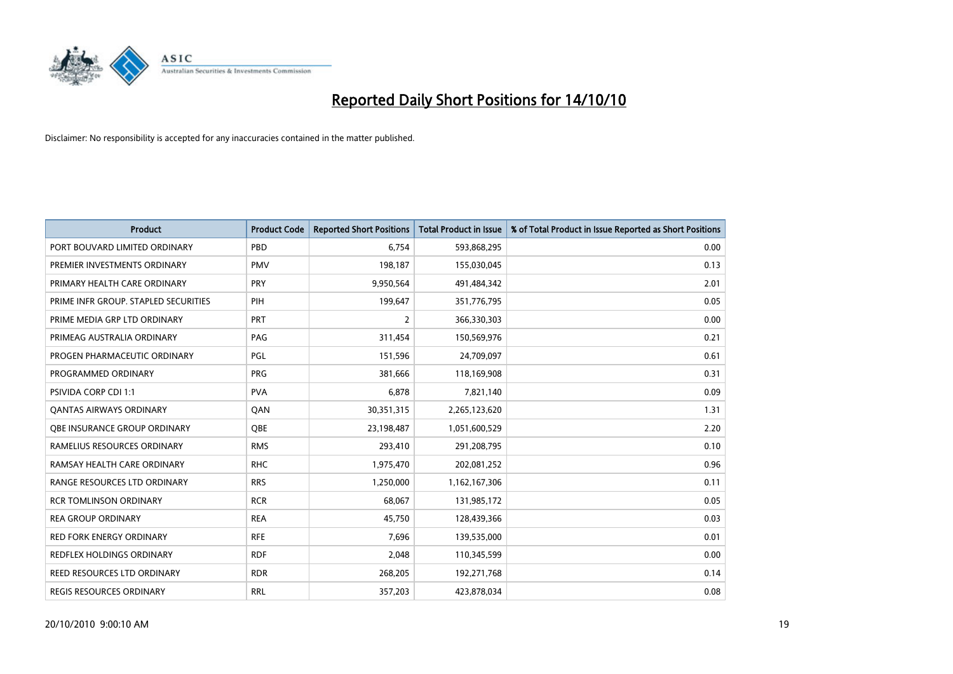

| <b>Product</b>                       | <b>Product Code</b> | <b>Reported Short Positions</b> | <b>Total Product in Issue</b> | % of Total Product in Issue Reported as Short Positions |
|--------------------------------------|---------------------|---------------------------------|-------------------------------|---------------------------------------------------------|
| PORT BOUVARD LIMITED ORDINARY        | PBD                 | 6.754                           | 593,868,295                   | 0.00                                                    |
| PREMIER INVESTMENTS ORDINARY         | <b>PMV</b>          | 198,187                         | 155,030,045                   | 0.13                                                    |
| PRIMARY HEALTH CARE ORDINARY         | <b>PRY</b>          | 9,950,564                       | 491,484,342                   | 2.01                                                    |
| PRIME INFR GROUP. STAPLED SECURITIES | PIH                 | 199,647                         | 351,776,795                   | 0.05                                                    |
| PRIME MEDIA GRP LTD ORDINARY         | <b>PRT</b>          | 2                               | 366,330,303                   | 0.00                                                    |
| PRIMEAG AUSTRALIA ORDINARY           | PAG                 | 311,454                         | 150,569,976                   | 0.21                                                    |
| PROGEN PHARMACEUTIC ORDINARY         | <b>PGL</b>          | 151,596                         | 24,709,097                    | 0.61                                                    |
| PROGRAMMED ORDINARY                  | <b>PRG</b>          | 381,666                         | 118,169,908                   | 0.31                                                    |
| <b>PSIVIDA CORP CDI 1:1</b>          | <b>PVA</b>          | 6,878                           | 7,821,140                     | 0.09                                                    |
| <b>QANTAS AIRWAYS ORDINARY</b>       | QAN                 | 30,351,315                      | 2,265,123,620                 | 1.31                                                    |
| <b>OBE INSURANCE GROUP ORDINARY</b>  | <b>OBE</b>          | 23,198,487                      | 1,051,600,529                 | 2.20                                                    |
| RAMELIUS RESOURCES ORDINARY          | <b>RMS</b>          | 293,410                         | 291,208,795                   | 0.10                                                    |
| RAMSAY HEALTH CARE ORDINARY          | <b>RHC</b>          | 1,975,470                       | 202,081,252                   | 0.96                                                    |
| RANGE RESOURCES LTD ORDINARY         | <b>RRS</b>          | 1,250,000                       | 1,162,167,306                 | 0.11                                                    |
| <b>RCR TOMLINSON ORDINARY</b>        | <b>RCR</b>          | 68.067                          | 131,985,172                   | 0.05                                                    |
| REA GROUP ORDINARY                   | <b>REA</b>          | 45,750                          | 128,439,366                   | 0.03                                                    |
| RED FORK ENERGY ORDINARY             | <b>RFE</b>          | 7,696                           | 139,535,000                   | 0.01                                                    |
| REDFLEX HOLDINGS ORDINARY            | <b>RDF</b>          | 2,048                           | 110,345,599                   | 0.00                                                    |
| <b>REED RESOURCES LTD ORDINARY</b>   | <b>RDR</b>          | 268,205                         | 192,271,768                   | 0.14                                                    |
| REGIS RESOURCES ORDINARY             | <b>RRL</b>          | 357,203                         | 423,878,034                   | 0.08                                                    |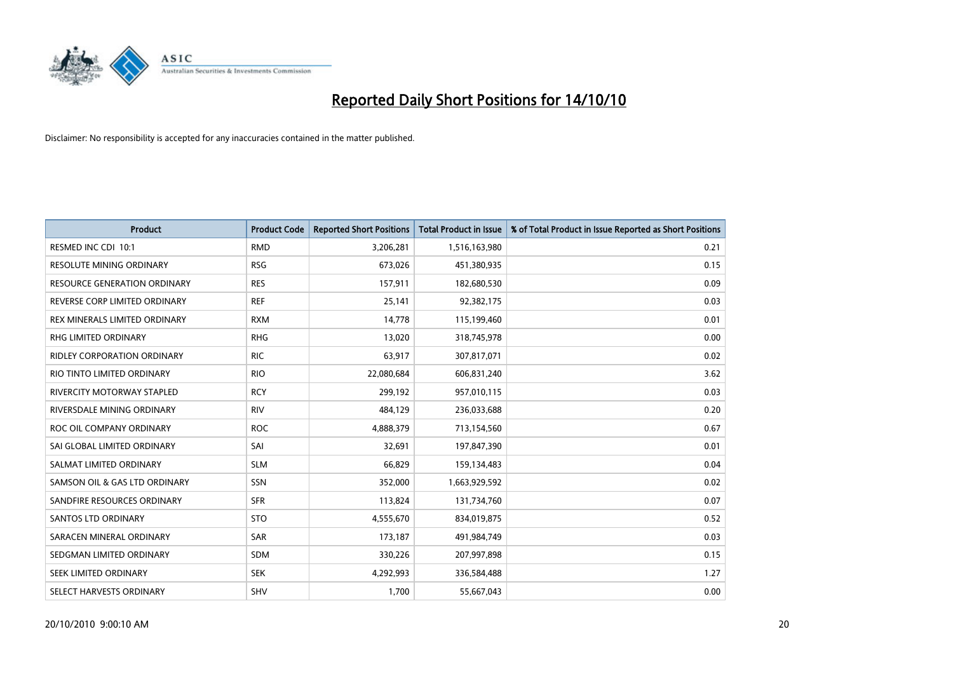

| <b>Product</b>                      | <b>Product Code</b> | <b>Reported Short Positions</b> | Total Product in Issue | % of Total Product in Issue Reported as Short Positions |
|-------------------------------------|---------------------|---------------------------------|------------------------|---------------------------------------------------------|
| RESMED INC CDI 10:1                 | <b>RMD</b>          | 3,206,281                       | 1,516,163,980          | 0.21                                                    |
| RESOLUTE MINING ORDINARY            | <b>RSG</b>          | 673,026                         | 451,380,935            | 0.15                                                    |
| <b>RESOURCE GENERATION ORDINARY</b> | <b>RES</b>          | 157,911                         | 182,680,530            | 0.09                                                    |
| REVERSE CORP LIMITED ORDINARY       | <b>REF</b>          | 25,141                          | 92,382,175             | 0.03                                                    |
| REX MINERALS LIMITED ORDINARY       | <b>RXM</b>          | 14,778                          | 115,199,460            | 0.01                                                    |
| <b>RHG LIMITED ORDINARY</b>         | <b>RHG</b>          | 13,020                          | 318,745,978            | 0.00                                                    |
| <b>RIDLEY CORPORATION ORDINARY</b>  | <b>RIC</b>          | 63,917                          | 307,817,071            | 0.02                                                    |
| RIO TINTO LIMITED ORDINARY          | <b>RIO</b>          | 22,080,684                      | 606,831,240            | 3.62                                                    |
| <b>RIVERCITY MOTORWAY STAPLED</b>   | <b>RCY</b>          | 299,192                         | 957,010,115            | 0.03                                                    |
| RIVERSDALE MINING ORDINARY          | <b>RIV</b>          | 484,129                         | 236,033,688            | 0.20                                                    |
| ROC OIL COMPANY ORDINARY            | <b>ROC</b>          | 4,888,379                       | 713,154,560            | 0.67                                                    |
| SAI GLOBAL LIMITED ORDINARY         | SAI                 | 32,691                          | 197,847,390            | 0.01                                                    |
| SALMAT LIMITED ORDINARY             | <b>SLM</b>          | 66,829                          | 159,134,483            | 0.04                                                    |
| SAMSON OIL & GAS LTD ORDINARY       | SSN                 | 352,000                         | 1,663,929,592          | 0.02                                                    |
| SANDFIRE RESOURCES ORDINARY         | <b>SFR</b>          | 113,824                         | 131,734,760            | 0.07                                                    |
| <b>SANTOS LTD ORDINARY</b>          | <b>STO</b>          | 4,555,670                       | 834,019,875            | 0.52                                                    |
| SARACEN MINERAL ORDINARY            | SAR                 | 173,187                         | 491,984,749            | 0.03                                                    |
| SEDGMAN LIMITED ORDINARY            | <b>SDM</b>          | 330,226                         | 207,997,898            | 0.15                                                    |
| SEEK LIMITED ORDINARY               | <b>SEK</b>          | 4,292,993                       | 336,584,488            | 1.27                                                    |
| SELECT HARVESTS ORDINARY            | SHV                 | 1,700                           | 55,667,043             | 0.00                                                    |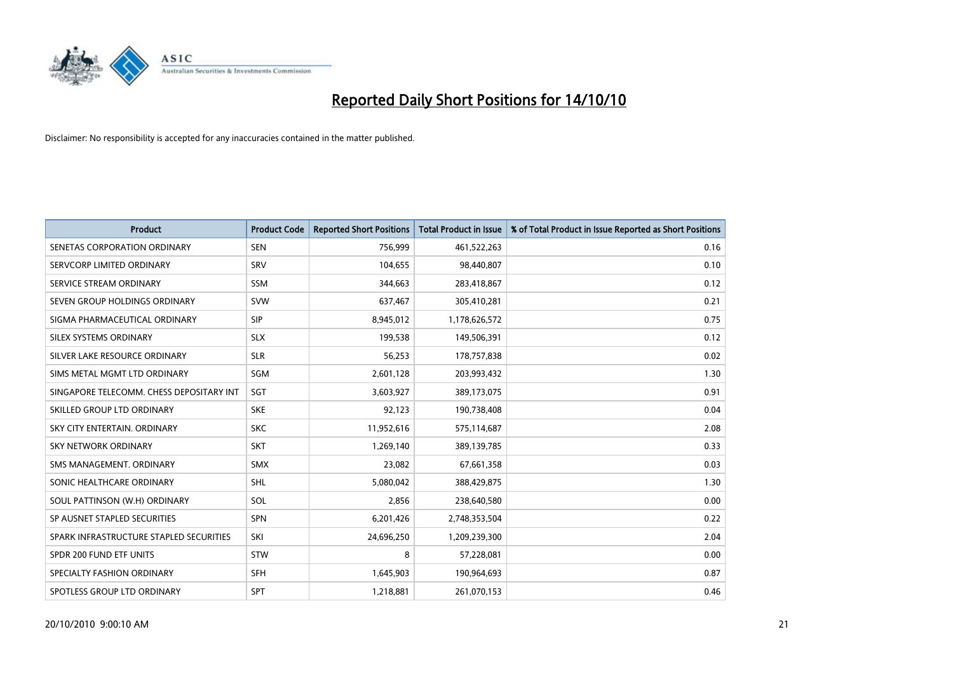

| <b>Product</b>                           | <b>Product Code</b> | <b>Reported Short Positions</b> | <b>Total Product in Issue</b> | % of Total Product in Issue Reported as Short Positions |
|------------------------------------------|---------------------|---------------------------------|-------------------------------|---------------------------------------------------------|
| SENETAS CORPORATION ORDINARY             | <b>SEN</b>          | 756,999                         | 461,522,263                   | 0.16                                                    |
| SERVCORP LIMITED ORDINARY                | SRV                 | 104,655                         | 98,440,807                    | 0.10                                                    |
| SERVICE STREAM ORDINARY                  | <b>SSM</b>          | 344,663                         | 283,418,867                   | 0.12                                                    |
| SEVEN GROUP HOLDINGS ORDINARY            | <b>SVW</b>          | 637,467                         | 305,410,281                   | 0.21                                                    |
| SIGMA PHARMACEUTICAL ORDINARY            | <b>SIP</b>          | 8,945,012                       | 1,178,626,572                 | 0.75                                                    |
| SILEX SYSTEMS ORDINARY                   | <b>SLX</b>          | 199,538                         | 149,506,391                   | 0.12                                                    |
| SILVER LAKE RESOURCE ORDINARY            | <b>SLR</b>          | 56,253                          | 178,757,838                   | 0.02                                                    |
| SIMS METAL MGMT LTD ORDINARY             | SGM                 | 2,601,128                       | 203,993,432                   | 1.30                                                    |
| SINGAPORE TELECOMM. CHESS DEPOSITARY INT | SGT                 | 3,603,927                       | 389,173,075                   | 0.91                                                    |
| SKILLED GROUP LTD ORDINARY               | <b>SKE</b>          | 92,123                          | 190,738,408                   | 0.04                                                    |
| SKY CITY ENTERTAIN. ORDINARY             | <b>SKC</b>          | 11,952,616                      | 575,114,687                   | 2.08                                                    |
| <b>SKY NETWORK ORDINARY</b>              | <b>SKT</b>          | 1,269,140                       | 389,139,785                   | 0.33                                                    |
| SMS MANAGEMENT. ORDINARY                 | <b>SMX</b>          | 23,082                          | 67,661,358                    | 0.03                                                    |
| SONIC HEALTHCARE ORDINARY                | SHL                 | 5,080,042                       | 388,429,875                   | 1.30                                                    |
| SOUL PATTINSON (W.H) ORDINARY            | SOL                 | 2,856                           | 238,640,580                   | 0.00                                                    |
| SP AUSNET STAPLED SECURITIES             | SPN                 | 6,201,426                       | 2,748,353,504                 | 0.22                                                    |
| SPARK INFRASTRUCTURE STAPLED SECURITIES  | SKI                 | 24,696,250                      | 1,209,239,300                 | 2.04                                                    |
| SPDR 200 FUND ETF UNITS                  | <b>STW</b>          | 8                               | 57,228,081                    | 0.00                                                    |
| SPECIALTY FASHION ORDINARY               | <b>SFH</b>          | 1,645,903                       | 190,964,693                   | 0.87                                                    |
| SPOTLESS GROUP LTD ORDINARY              | <b>SPT</b>          | 1,218,881                       | 261,070,153                   | 0.46                                                    |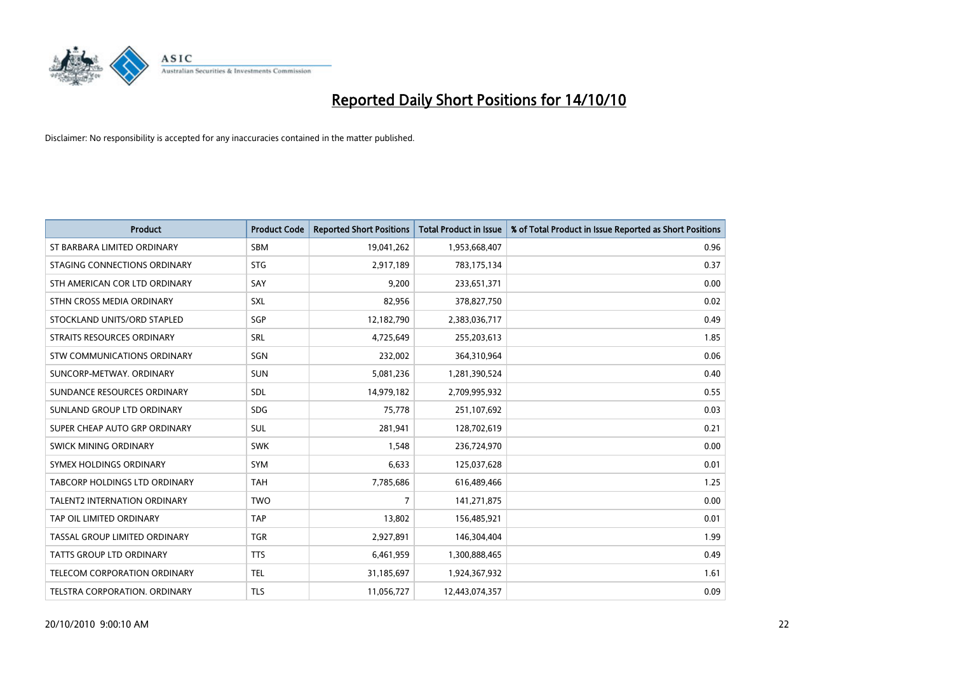

| <b>Product</b>                       | <b>Product Code</b> | <b>Reported Short Positions</b> | <b>Total Product in Issue</b> | % of Total Product in Issue Reported as Short Positions |
|--------------------------------------|---------------------|---------------------------------|-------------------------------|---------------------------------------------------------|
| ST BARBARA LIMITED ORDINARY          | <b>SBM</b>          | 19,041,262                      | 1,953,668,407                 | 0.96                                                    |
| STAGING CONNECTIONS ORDINARY         | <b>STG</b>          | 2,917,189                       | 783,175,134                   | 0.37                                                    |
| STH AMERICAN COR LTD ORDINARY        | SAY                 | 9,200                           | 233,651,371                   | 0.00                                                    |
| STHN CROSS MEDIA ORDINARY            | <b>SXL</b>          | 82,956                          | 378,827,750                   | 0.02                                                    |
| STOCKLAND UNITS/ORD STAPLED          | SGP                 | 12,182,790                      | 2,383,036,717                 | 0.49                                                    |
| STRAITS RESOURCES ORDINARY           | SRL                 | 4,725,649                       | 255,203,613                   | 1.85                                                    |
| STW COMMUNICATIONS ORDINARY          | SGN                 | 232,002                         | 364,310,964                   | 0.06                                                    |
| SUNCORP-METWAY, ORDINARY             | <b>SUN</b>          | 5,081,236                       | 1,281,390,524                 | 0.40                                                    |
| SUNDANCE RESOURCES ORDINARY          | <b>SDL</b>          | 14,979,182                      | 2,709,995,932                 | 0.55                                                    |
| SUNLAND GROUP LTD ORDINARY           | <b>SDG</b>          | 75,778                          | 251,107,692                   | 0.03                                                    |
| SUPER CHEAP AUTO GRP ORDINARY        | <b>SUL</b>          | 281,941                         | 128,702,619                   | 0.21                                                    |
| SWICK MINING ORDINARY                | <b>SWK</b>          | 1,548                           | 236,724,970                   | 0.00                                                    |
| SYMEX HOLDINGS ORDINARY              | <b>SYM</b>          | 6,633                           | 125,037,628                   | 0.01                                                    |
| <b>TABCORP HOLDINGS LTD ORDINARY</b> | <b>TAH</b>          | 7,785,686                       | 616,489,466                   | 1.25                                                    |
| <b>TALENT2 INTERNATION ORDINARY</b>  | <b>TWO</b>          | 7                               | 141,271,875                   | 0.00                                                    |
| TAP OIL LIMITED ORDINARY             | <b>TAP</b>          | 13,802                          | 156,485,921                   | 0.01                                                    |
| TASSAL GROUP LIMITED ORDINARY        | <b>TGR</b>          | 2,927,891                       | 146,304,404                   | 1.99                                                    |
| TATTS GROUP LTD ORDINARY             | <b>TTS</b>          | 6,461,959                       | 1,300,888,465                 | 0.49                                                    |
| TELECOM CORPORATION ORDINARY         | <b>TEL</b>          | 31,185,697                      | 1,924,367,932                 | 1.61                                                    |
| TELSTRA CORPORATION, ORDINARY        | <b>TLS</b>          | 11,056,727                      | 12,443,074,357                | 0.09                                                    |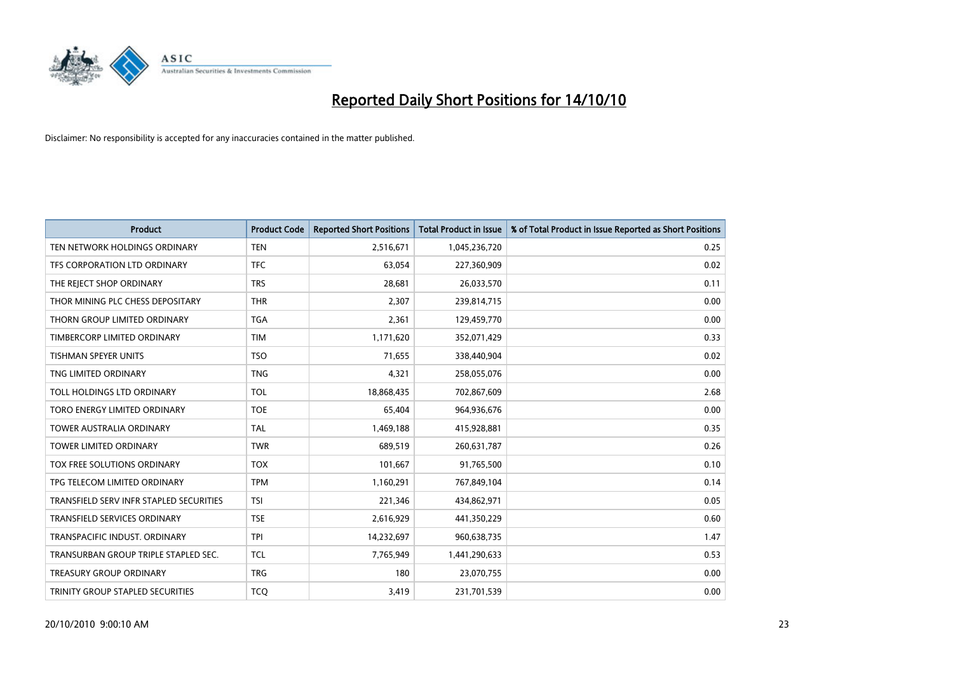

| <b>Product</b>                          | <b>Product Code</b> | <b>Reported Short Positions</b> | Total Product in Issue | % of Total Product in Issue Reported as Short Positions |
|-----------------------------------------|---------------------|---------------------------------|------------------------|---------------------------------------------------------|
| TEN NETWORK HOLDINGS ORDINARY           | <b>TEN</b>          | 2,516,671                       | 1,045,236,720          | 0.25                                                    |
| TFS CORPORATION LTD ORDINARY            | <b>TFC</b>          | 63,054                          | 227,360,909            | 0.02                                                    |
| THE REJECT SHOP ORDINARY                | <b>TRS</b>          | 28,681                          | 26,033,570             | 0.11                                                    |
| THOR MINING PLC CHESS DEPOSITARY        | <b>THR</b>          | 2,307                           | 239,814,715            | 0.00                                                    |
| THORN GROUP LIMITED ORDINARY            | <b>TGA</b>          | 2,361                           | 129,459,770            | 0.00                                                    |
| TIMBERCORP LIMITED ORDINARY             | <b>TIM</b>          | 1,171,620                       | 352,071,429            | 0.33                                                    |
| <b>TISHMAN SPEYER UNITS</b>             | <b>TSO</b>          | 71,655                          | 338,440,904            | 0.02                                                    |
| TNG LIMITED ORDINARY                    | <b>TNG</b>          | 4,321                           | 258,055,076            | 0.00                                                    |
| TOLL HOLDINGS LTD ORDINARY              | <b>TOL</b>          | 18,868,435                      | 702,867,609            | 2.68                                                    |
| TORO ENERGY LIMITED ORDINARY            | <b>TOE</b>          | 65,404                          | 964,936,676            | 0.00                                                    |
| <b>TOWER AUSTRALIA ORDINARY</b>         | <b>TAL</b>          | 1,469,188                       | 415,928,881            | 0.35                                                    |
| <b>TOWER LIMITED ORDINARY</b>           | <b>TWR</b>          | 689,519                         | 260,631,787            | 0.26                                                    |
| <b>TOX FREE SOLUTIONS ORDINARY</b>      | <b>TOX</b>          | 101,667                         | 91,765,500             | 0.10                                                    |
| TPG TELECOM LIMITED ORDINARY            | <b>TPM</b>          | 1,160,291                       | 767,849,104            | 0.14                                                    |
| TRANSFIELD SERV INFR STAPLED SECURITIES | <b>TSI</b>          | 221,346                         | 434,862,971            | 0.05                                                    |
| <b>TRANSFIELD SERVICES ORDINARY</b>     | <b>TSE</b>          | 2,616,929                       | 441,350,229            | 0.60                                                    |
| TRANSPACIFIC INDUST, ORDINARY           | <b>TPI</b>          | 14,232,697                      | 960,638,735            | 1.47                                                    |
| TRANSURBAN GROUP TRIPLE STAPLED SEC.    | <b>TCL</b>          | 7,765,949                       | 1,441,290,633          | 0.53                                                    |
| <b>TREASURY GROUP ORDINARY</b>          | <b>TRG</b>          | 180                             | 23,070,755             | 0.00                                                    |
| TRINITY GROUP STAPLED SECURITIES        | <b>TCO</b>          | 3,419                           | 231,701,539            | 0.00                                                    |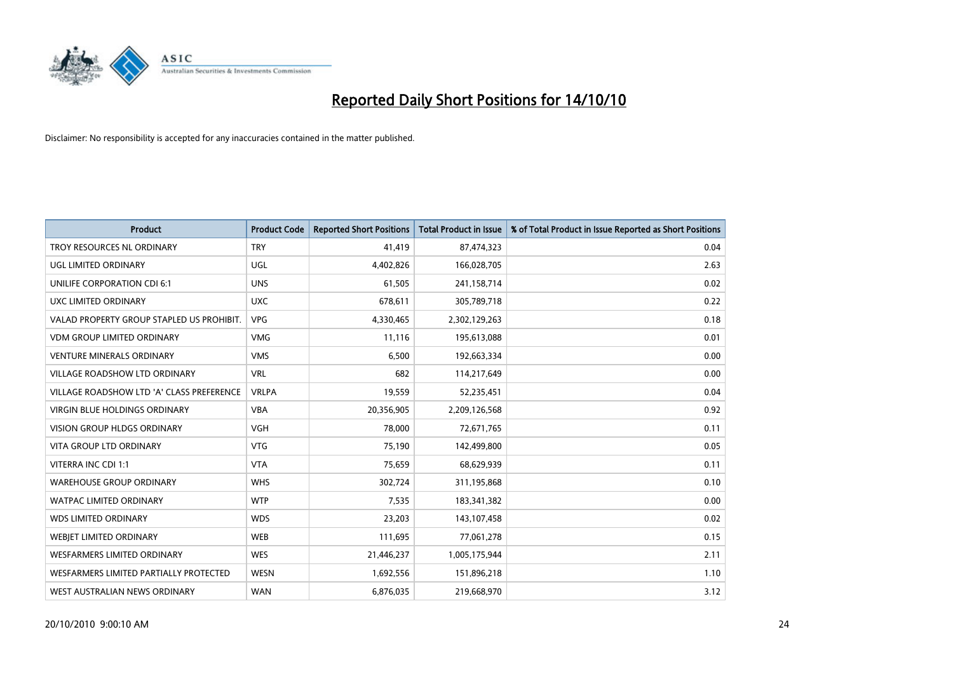

| <b>Product</b>                            | <b>Product Code</b> | <b>Reported Short Positions</b> | Total Product in Issue | % of Total Product in Issue Reported as Short Positions |
|-------------------------------------------|---------------------|---------------------------------|------------------------|---------------------------------------------------------|
| <b>TROY RESOURCES NL ORDINARY</b>         | <b>TRY</b>          | 41,419                          | 87,474,323             | 0.04                                                    |
| UGL LIMITED ORDINARY                      | UGL                 | 4,402,826                       | 166,028,705            | 2.63                                                    |
| <b>UNILIFE CORPORATION CDI 6:1</b>        | <b>UNS</b>          | 61,505                          | 241,158,714            | 0.02                                                    |
| UXC LIMITED ORDINARY                      | <b>UXC</b>          | 678,611                         | 305,789,718            | 0.22                                                    |
| VALAD PROPERTY GROUP STAPLED US PROHIBIT. | <b>VPG</b>          | 4,330,465                       | 2,302,129,263          | 0.18                                                    |
| <b>VDM GROUP LIMITED ORDINARY</b>         | <b>VMG</b>          | 11,116                          | 195,613,088            | 0.01                                                    |
| <b>VENTURE MINERALS ORDINARY</b>          | <b>VMS</b>          | 6,500                           | 192,663,334            | 0.00                                                    |
| VILLAGE ROADSHOW LTD ORDINARY             | <b>VRL</b>          | 682                             | 114,217,649            | 0.00                                                    |
| VILLAGE ROADSHOW LTD 'A' CLASS PREFERENCE | <b>VRLPA</b>        | 19,559                          | 52,235,451             | 0.04                                                    |
| <b>VIRGIN BLUE HOLDINGS ORDINARY</b>      | <b>VBA</b>          | 20,356,905                      | 2,209,126,568          | 0.92                                                    |
| VISION GROUP HLDGS ORDINARY               | <b>VGH</b>          | 78,000                          | 72,671,765             | 0.11                                                    |
| <b>VITA GROUP LTD ORDINARY</b>            | <b>VTG</b>          | 75,190                          | 142,499,800            | 0.05                                                    |
| VITERRA INC CDI 1:1                       | <b>VTA</b>          | 75,659                          | 68,629,939             | 0.11                                                    |
| <b>WAREHOUSE GROUP ORDINARY</b>           | <b>WHS</b>          | 302,724                         | 311,195,868            | 0.10                                                    |
| <b>WATPAC LIMITED ORDINARY</b>            | <b>WTP</b>          | 7,535                           | 183,341,382            | 0.00                                                    |
| <b>WDS LIMITED ORDINARY</b>               | <b>WDS</b>          | 23,203                          | 143,107,458            | 0.02                                                    |
| WEBIET LIMITED ORDINARY                   | <b>WEB</b>          | 111,695                         | 77,061,278             | 0.15                                                    |
| <b>WESFARMERS LIMITED ORDINARY</b>        | <b>WES</b>          | 21,446,237                      | 1,005,175,944          | 2.11                                                    |
| WESFARMERS LIMITED PARTIALLY PROTECTED    | <b>WESN</b>         | 1,692,556                       | 151,896,218            | 1.10                                                    |
| WEST AUSTRALIAN NEWS ORDINARY             | <b>WAN</b>          | 6,876,035                       | 219,668,970            | 3.12                                                    |